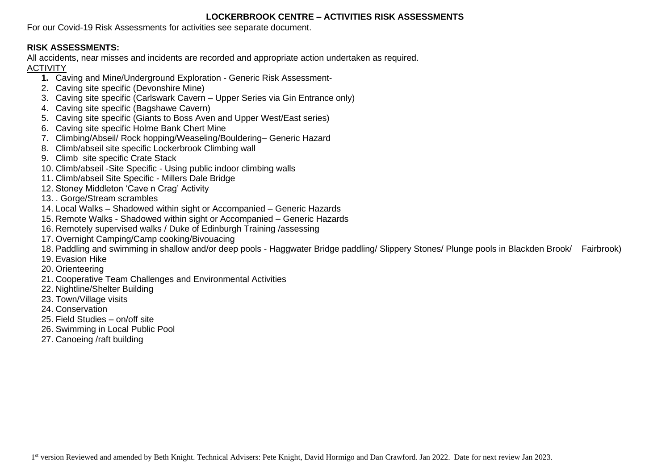### **LOCKERBROOK CENTRE – ACTIVITIES RISK ASSESSMENTS**

For our Covid-19 Risk Assessments for activities see separate document.

# **RISK ASSESSMENTS:**

All accidents, near misses and incidents are recorded and appropriate action undertaken as required.

## ACTIVITY

- **1.** Caving and Mine/Underground Exploration Generic Risk Assessment-
- 2. Caving site specific (Devonshire Mine)
- 3. Caving site specific (Carlswark Cavern Upper Series via Gin Entrance only)
- 4. Caving site specific (Bagshawe Cavern)
- 5. Caving site specific (Giants to Boss Aven and Upper West/East series)
- 6. Caving site specific Holme Bank Chert Mine
- 7. Climbing/Abseil/ Rock hopping/Weaseling/Bouldering– Generic Hazard
- 8. Climb/abseil site specific Lockerbrook Climbing wall
- 9. Climb site specific Crate Stack
- 10. Climb/abseil -Site Specific Using public indoor climbing walls
- 11. Climb/abseil Site Specific Millers Dale Bridge
- 12. Stoney Middleton 'Cave n Crag' Activity
- 13. . Gorge/Stream scrambles
- 14. Local Walks Shadowed within sight or Accompanied Generic Hazards
- 15. Remote Walks Shadowed within sight or Accompanied Generic Hazards
- 16. Remotely supervised walks / Duke of Edinburgh Training /assessing
- 17. Overnight Camping/Camp cooking/Bivouacing
- 18. Paddling and swimming in shallow and/or deep pools Haggwater Bridge paddling/ Slippery Stones/ Plunge pools in Blackden Brook/ Fairbrook)
- 19. Evasion Hike
- 20. Orienteering
- 21. Cooperative Team Challenges and Environmental Activities
- 22. Nightline/Shelter Building
- 23. Town/Village visits
- 24. Conservation
- 25. Field Studies on/off site
- 26. Swimming in Local Public Pool
- 27. Canoeing /raft building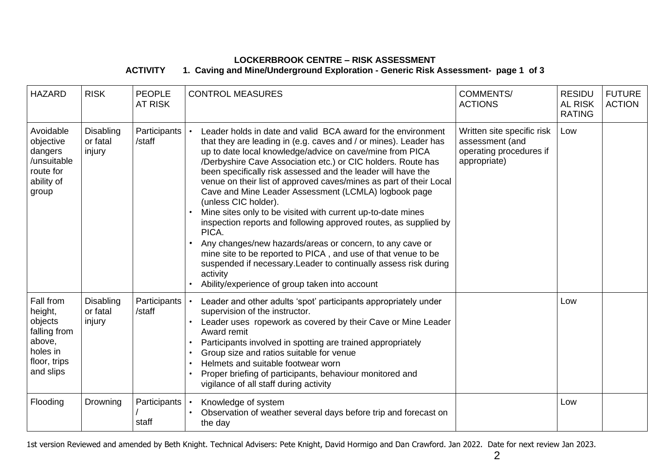### **LOCKERBROOK CENTRE – RISK ASSESSMENT ACTIVITY 1. Caving and Mine/Underground Exploration - Generic Risk Assessment- page 1 of 3**

| <b>HAZARD</b>                                                                                      | <b>RISK</b>                     | <b>PEOPLE</b><br><b>AT RISK</b> | <b>CONTROL MEASURES</b>                                                                                                                                                                                                                                                                                                                                                                                                                                                                                                                                                                                                                                                                                                                                                                                                                                                                       | <b>COMMENTS/</b><br><b>ACTIONS</b>                                                       | <b>RESIDU</b><br><b>AL RISK</b><br><b>RATING</b> | <b>FUTURE</b><br><b>ACTION</b> |
|----------------------------------------------------------------------------------------------------|---------------------------------|---------------------------------|-----------------------------------------------------------------------------------------------------------------------------------------------------------------------------------------------------------------------------------------------------------------------------------------------------------------------------------------------------------------------------------------------------------------------------------------------------------------------------------------------------------------------------------------------------------------------------------------------------------------------------------------------------------------------------------------------------------------------------------------------------------------------------------------------------------------------------------------------------------------------------------------------|------------------------------------------------------------------------------------------|--------------------------------------------------|--------------------------------|
| Avoidable<br>objective<br>dangers<br>/unsuitable<br>route for<br>ability of<br>group               | Disabling<br>or fatal<br>injury | Participants<br>/staff          | Leader holds in date and valid BCA award for the environment<br>that they are leading in (e.g. caves and / or mines). Leader has<br>up to date local knowledge/advice on cave/mine from PICA<br>/Derbyshire Cave Association etc.) or CIC holders. Route has<br>been specifically risk assessed and the leader will have the<br>venue on their list of approved caves/mines as part of their Local<br>Cave and Mine Leader Assessment (LCMLA) logbook page<br>(unless CIC holder).<br>Mine sites only to be visited with current up-to-date mines<br>inspection reports and following approved routes, as supplied by<br>PICA.<br>Any changes/new hazards/areas or concern, to any cave or<br>mine site to be reported to PICA, and use of that venue to be<br>suspended if necessary. Leader to continually assess risk during<br>activity<br>Ability/experience of group taken into account | Written site specific risk<br>assessment (and<br>operating procedures if<br>appropriate) | Low                                              |                                |
| Fall from<br>height,<br>objects<br>falling from<br>above,<br>holes in<br>floor, trips<br>and slips | Disabling<br>or fatal<br>injury | Participants<br>/staff          | Leader and other adults 'spot' participants appropriately under<br>supervision of the instructor.<br>Leader uses ropework as covered by their Cave or Mine Leader<br>Award remit<br>Participants involved in spotting are trained appropriately<br>Group size and ratios suitable for venue<br>Helmets and suitable footwear worn<br>Proper briefing of participants, behaviour monitored and<br>vigilance of all staff during activity                                                                                                                                                                                                                                                                                                                                                                                                                                                       |                                                                                          | Low                                              |                                |
| Flooding                                                                                           | Drowning                        | Participants<br>staff           | Knowledge of system<br>Observation of weather several days before trip and forecast on<br>the day                                                                                                                                                                                                                                                                                                                                                                                                                                                                                                                                                                                                                                                                                                                                                                                             |                                                                                          | Low                                              |                                |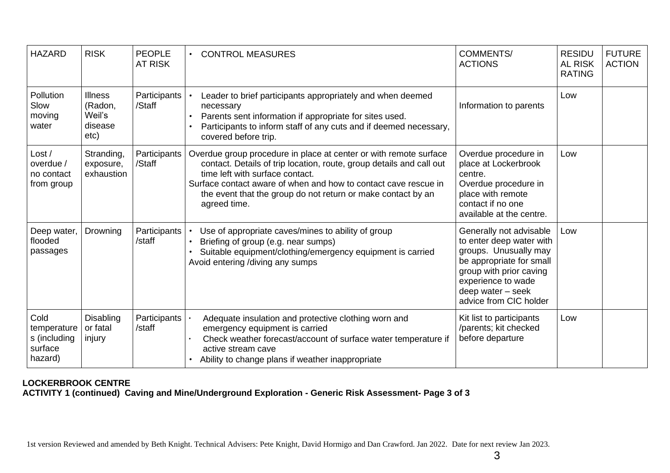| <b>HAZARD</b>                                             | <b>RISK</b>                                            | <b>PEOPLE</b><br><b>AT RISK</b> | <b>CONTROL MEASURES</b>                                                                                                                                                                                                                                                                                                         | <b>COMMENTS/</b><br><b>ACTIONS</b>                                                                                                                                                                       | <b>RESIDU</b><br><b>AL RISK</b><br><b>RATING</b> | <b>FUTURE</b><br><b>ACTION</b> |
|-----------------------------------------------------------|--------------------------------------------------------|---------------------------------|---------------------------------------------------------------------------------------------------------------------------------------------------------------------------------------------------------------------------------------------------------------------------------------------------------------------------------|----------------------------------------------------------------------------------------------------------------------------------------------------------------------------------------------------------|--------------------------------------------------|--------------------------------|
| Pollution<br>Slow<br>moving<br>water                      | <b>Illness</b><br>(Radon,<br>Weil's<br>disease<br>etc) | Participants<br>/Staff          | Leader to brief participants appropriately and when deemed<br>necessary<br>Parents sent information if appropriate for sites used.<br>Participants to inform staff of any cuts and if deemed necessary,<br>covered before trip.                                                                                                 | Information to parents                                                                                                                                                                                   | Low                                              |                                |
| Loss/<br>overdue /<br>no contact<br>from group            | Stranding,<br>exposure,<br>exhaustion                  | Participants<br>/Staff          | Overdue group procedure in place at center or with remote surface<br>contact. Details of trip location, route, group details and call out<br>time left with surface contact.<br>Surface contact aware of when and how to contact cave rescue in<br>the event that the group do not return or make contact by an<br>agreed time. | Overdue procedure in<br>place at Lockerbrook<br>centre.<br>Overdue procedure in<br>place with remote<br>contact if no one<br>available at the centre.                                                    | Low                                              |                                |
| Deep water,<br>flooded<br>passages                        | Drowning                                               | Participants<br>/staff          | Use of appropriate caves/mines to ability of group<br>Briefing of group (e.g. near sumps)<br>Suitable equipment/clothing/emergency equipment is carried<br>Avoid entering /diving any sumps                                                                                                                                     | Generally not advisable<br>to enter deep water with<br>groups. Unusually may<br>be appropriate for small<br>group with prior caving<br>experience to wade<br>deep water - seek<br>advice from CIC holder | Low                                              |                                |
| Cold<br>temperature<br>s (including<br>surface<br>hazard) | <b>Disabling</b><br>or fatal<br>injury                 | Participants<br>/staff          | Adequate insulation and protective clothing worn and<br>emergency equipment is carried<br>Check weather forecast/account of surface water temperature if<br>active stream cave<br>Ability to change plans if weather inappropriate                                                                                              | Kit list to participants<br>/parents; kit checked<br>before departure                                                                                                                                    | Low                                              |                                |

### **LOCKERBROOK CENTRE ACTIVITY 1 (continued) Caving and Mine/Underground Exploration - Generic Risk Assessment- Page 3 of 3**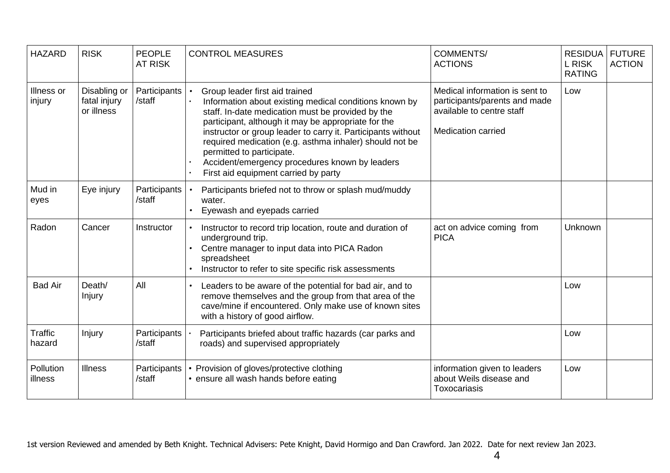| <b>HAZARD</b>            | <b>RISK</b>                                | <b>PEOPLE</b><br><b>AT RISK</b> | <b>CONTROL MEASURES</b>                                                                                                                                                                                                                                                                                                                                                                                                                                | <b>COMMENTS/</b><br><b>ACTIONS</b>                                                                                        | <b>RESIDUA</b><br><b>L RISK</b><br><b>RATING</b> | <b>FUTURE</b><br><b>ACTION</b> |
|--------------------------|--------------------------------------------|---------------------------------|--------------------------------------------------------------------------------------------------------------------------------------------------------------------------------------------------------------------------------------------------------------------------------------------------------------------------------------------------------------------------------------------------------------------------------------------------------|---------------------------------------------------------------------------------------------------------------------------|--------------------------------------------------|--------------------------------|
| Illness or<br>injury     | Disabling or<br>fatal injury<br>or illness | Participants<br>/staff          | Group leader first aid trained<br>Information about existing medical conditions known by<br>staff. In-date medication must be provided by the<br>participant, although it may be appropriate for the<br>instructor or group leader to carry it. Participants without<br>required medication (e.g. asthma inhaler) should not be<br>permitted to participate.<br>Accident/emergency procedures known by leaders<br>First aid equipment carried by party | Medical information is sent to<br>participants/parents and made<br>available to centre staff<br><b>Medication carried</b> | Low                                              |                                |
| Mud in<br>eyes           | Eye injury                                 | Participants<br>/staff          | Participants briefed not to throw or splash mud/muddy<br>water.<br>Eyewash and eyepads carried                                                                                                                                                                                                                                                                                                                                                         |                                                                                                                           |                                                  |                                |
| Radon                    | Cancer                                     | Instructor                      | Instructor to record trip location, route and duration of<br>underground trip.<br>Centre manager to input data into PICA Radon<br>spreadsheet<br>Instructor to refer to site specific risk assessments                                                                                                                                                                                                                                                 | act on advice coming from<br><b>PICA</b>                                                                                  | Unknown                                          |                                |
| <b>Bad Air</b>           | Death/<br>Injury                           | All                             | Leaders to be aware of the potential for bad air, and to<br>remove themselves and the group from that area of the<br>cave/mine if encountered. Only make use of known sites<br>with a history of good airflow.                                                                                                                                                                                                                                         |                                                                                                                           | Low                                              |                                |
| <b>Traffic</b><br>hazard | Injury                                     | Participants<br>/staff          | Participants briefed about traffic hazards (car parks and<br>roads) and supervised appropriately                                                                                                                                                                                                                                                                                                                                                       |                                                                                                                           | Low                                              |                                |
| Pollution<br>illness     | <b>Illness</b>                             | Participants<br>/staff          | Provision of gloves/protective clothing<br>• ensure all wash hands before eating                                                                                                                                                                                                                                                                                                                                                                       | information given to leaders<br>about Weils disease and<br>Toxocariasis                                                   | Low                                              |                                |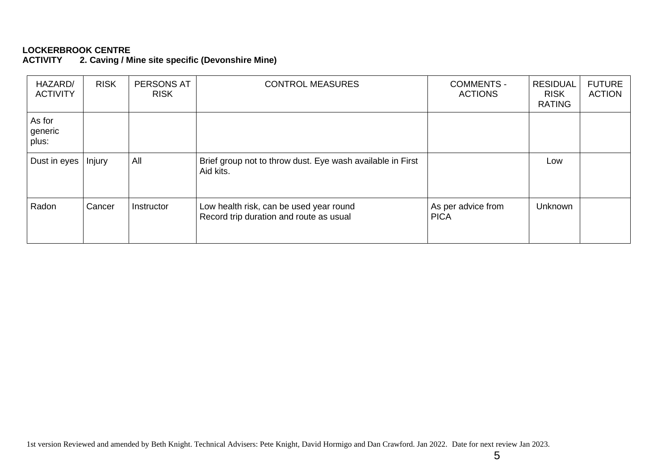2. Caving / Mine site specific (Devonshire Mine)

| HAZARD/<br><b>ACTIVITY</b> | <b>RISK</b> | PERSONS AT<br><b>RISK</b> | <b>CONTROL MEASURES</b>                                                            | <b>COMMENTS -</b><br><b>ACTIONS</b> | <b>RESIDUAL</b><br><b>RISK</b><br><b>RATING</b> | <b>FUTURE</b><br><b>ACTION</b> |
|----------------------------|-------------|---------------------------|------------------------------------------------------------------------------------|-------------------------------------|-------------------------------------------------|--------------------------------|
| As for<br>generic<br>plus: |             |                           |                                                                                    |                                     |                                                 |                                |
| Dust in eyes               | Injury      | All                       | Brief group not to throw dust. Eye wash available in First<br>Aid kits.            |                                     | Low                                             |                                |
| Radon                      | Cancer      | Instructor                | Low health risk, can be used year round<br>Record trip duration and route as usual | As per advice from<br><b>PICA</b>   | <b>Unknown</b>                                  |                                |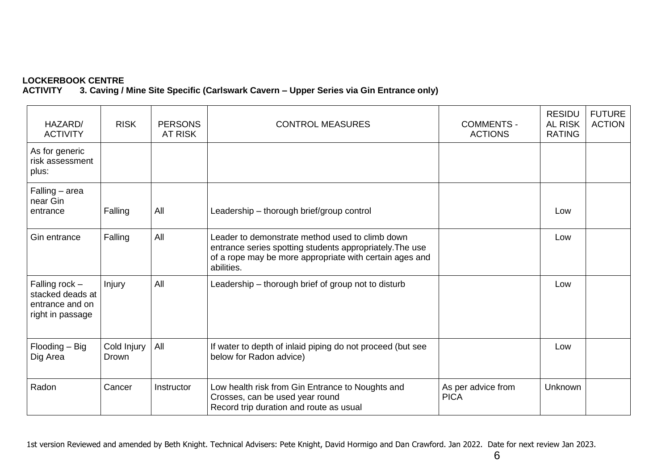### **LOCKERBOOK CENTRE ACTIVITY 3. Caving / Mine Site Specific (Carlswark Cavern – Upper Series via Gin Entrance only)**

| HAZARD/<br><b>ACTIVITY</b>                                                  | <b>RISK</b>          | <b>PERSONS</b><br><b>AT RISK</b> | <b>CONTROL MEASURES</b>                                                                                                                                                              | <b>COMMENTS -</b><br><b>ACTIONS</b> | <b>RESIDU</b><br><b>AL RISK</b><br><b>RATING</b> | <b>FUTURE</b><br><b>ACTION</b> |
|-----------------------------------------------------------------------------|----------------------|----------------------------------|--------------------------------------------------------------------------------------------------------------------------------------------------------------------------------------|-------------------------------------|--------------------------------------------------|--------------------------------|
| As for generic<br>risk assessment<br>plus:                                  |                      |                                  |                                                                                                                                                                                      |                                     |                                                  |                                |
| Falling - area<br>near Gin<br>entrance                                      | Falling              | All                              | Leadership - thorough brief/group control                                                                                                                                            |                                     | Low                                              |                                |
| Gin entrance                                                                | Falling              | All                              | Leader to demonstrate method used to climb down<br>entrance series spotting students appropriately. The use<br>of a rope may be more appropriate with certain ages and<br>abilities. |                                     | Low                                              |                                |
| Falling rock $-$<br>stacked deads at<br>entrance and on<br>right in passage | Injury               | All                              | Leadership – thorough brief of group not to disturb                                                                                                                                  |                                     | Low                                              |                                |
| Flooding - Big<br>Dig Area                                                  | Cold Injury<br>Drown | All                              | If water to depth of inlaid piping do not proceed (but see<br>below for Radon advice)                                                                                                |                                     | Low                                              |                                |
| Radon                                                                       | Cancer               | Instructor                       | Low health risk from Gin Entrance to Noughts and<br>Crosses, can be used year round<br>Record trip duration and route as usual                                                       | As per advice from<br><b>PICA</b>   | <b>Unknown</b>                                   |                                |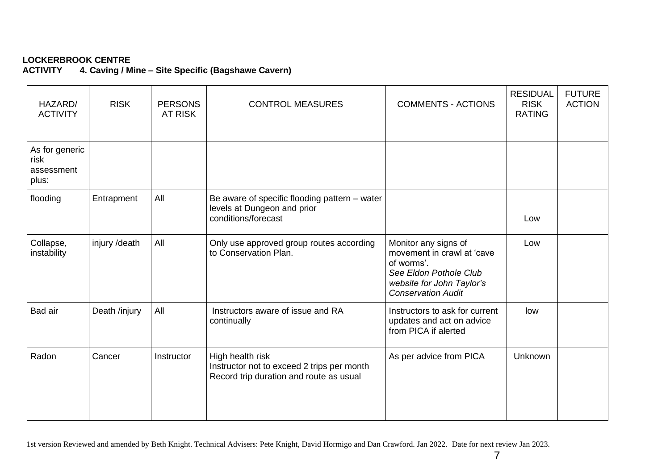# LOCKERBROOK CENTRE<br>ACTIVITY 4. Caving / M

**ACTIVITY 4. Caving / Mine – Site Specific (Bagshawe Cavern)**

| HAZARD/<br><b>ACTIVITY</b>                    | <b>RISK</b>   | <b>PERSONS</b><br><b>AT RISK</b> | <b>CONTROL MEASURES</b>                                                                                   | <b>COMMENTS - ACTIONS</b>                                                                                                                            | <b>RESIDUAL</b><br><b>RISK</b><br><b>RATING</b> | <b>FUTURE</b><br><b>ACTION</b> |
|-----------------------------------------------|---------------|----------------------------------|-----------------------------------------------------------------------------------------------------------|------------------------------------------------------------------------------------------------------------------------------------------------------|-------------------------------------------------|--------------------------------|
| As for generic<br>risk<br>assessment<br>plus: |               |                                  |                                                                                                           |                                                                                                                                                      |                                                 |                                |
| flooding                                      | Entrapment    | All                              | Be aware of specific flooding pattern - water<br>levels at Dungeon and prior<br>conditions/forecast       |                                                                                                                                                      | Low                                             |                                |
| Collapse,<br>instability                      | injury /death | All                              | Only use approved group routes according<br>to Conservation Plan.                                         | Monitor any signs of<br>movement in crawl at 'cave<br>of worms'.<br>See Eldon Pothole Club<br>website for John Taylor's<br><b>Conservation Audit</b> | Low                                             |                                |
| Bad air                                       | Death /injury | All                              | Instructors aware of issue and RA<br>continually                                                          | Instructors to ask for current<br>updates and act on advice<br>from PICA if alerted                                                                  | low                                             |                                |
| Radon                                         | Cancer        | Instructor                       | High health risk<br>Instructor not to exceed 2 trips per month<br>Record trip duration and route as usual | As per advice from PICA                                                                                                                              | <b>Unknown</b>                                  |                                |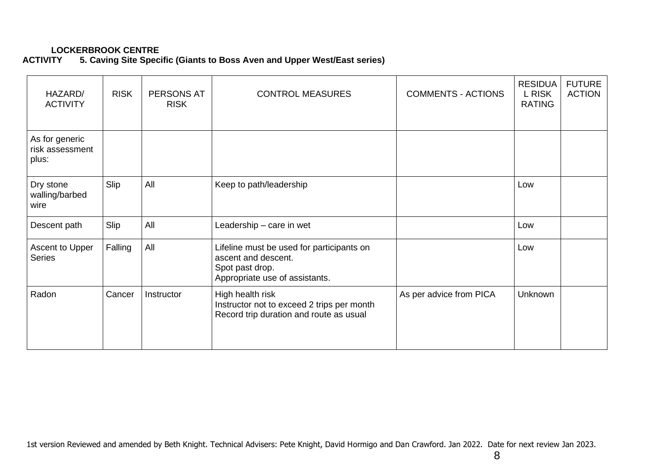# **LOCKERBROOK CENTRE<br>ACTIVITY 5. Caving Site Speci**

# **5. Caving Site Specific (Giants to Boss Aven and Upper West/East series)**

| HAZARD/<br><b>ACTIVITY</b>                 | <b>RISK</b> | PERSONS AT<br><b>RISK</b> | <b>CONTROL MEASURES</b>                                                                                               | <b>COMMENTS - ACTIONS</b> | <b>RESIDUA</b><br>L RISK<br><b>RATING</b> | <b>FUTURE</b><br><b>ACTION</b> |
|--------------------------------------------|-------------|---------------------------|-----------------------------------------------------------------------------------------------------------------------|---------------------------|-------------------------------------------|--------------------------------|
| As for generic<br>risk assessment<br>plus: |             |                           |                                                                                                                       |                           |                                           |                                |
| Dry stone<br>walling/barbed<br>wire        | Slip        | All                       | Keep to path/leadership                                                                                               |                           | Low                                       |                                |
| Descent path                               | Slip        | All                       | Leadership – care in wet                                                                                              |                           | Low                                       |                                |
| Ascent to Upper<br><b>Series</b>           | Falling     | All                       | Lifeline must be used for participants on<br>ascent and descent.<br>Spot past drop.<br>Appropriate use of assistants. |                           | Low                                       |                                |
| Radon                                      | Cancer      | Instructor                | High health risk<br>Instructor not to exceed 2 trips per month<br>Record trip duration and route as usual             | As per advice from PICA   | Unknown                                   |                                |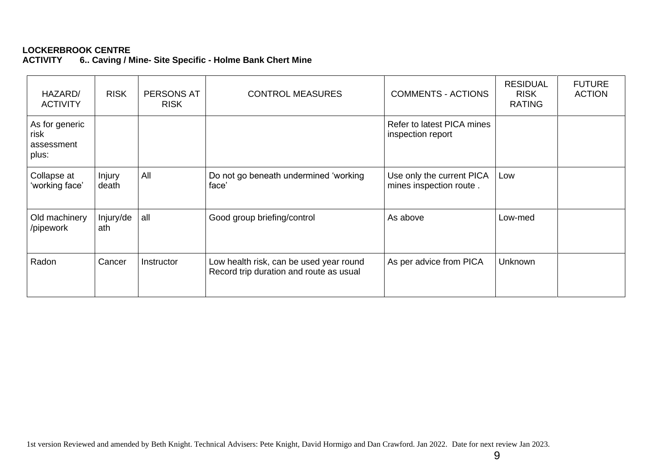# LOCKERBROOK CENTRE<br>ACTIVITY 6.. Caving / N

**ACTIVITY 6.. Caving / Mine- Site Specific - Holme Bank Chert Mine** 

| HAZARD/<br><b>ACTIVITY</b>                    | <b>RISK</b>      | PERSONS AT<br><b>RISK</b> | <b>CONTROL MEASURES</b>                                                            | <b>COMMENTS - ACTIONS</b>                            | <b>RESIDUAL</b><br><b>RISK</b><br><b>RATING</b> | <b>FUTURE</b><br><b>ACTION</b> |
|-----------------------------------------------|------------------|---------------------------|------------------------------------------------------------------------------------|------------------------------------------------------|-------------------------------------------------|--------------------------------|
| As for generic<br>risk<br>assessment<br>plus: |                  |                           |                                                                                    | Refer to latest PICA mines<br>inspection report      |                                                 |                                |
| Collapse at<br>'working face'                 | Injury<br>death  | All                       | Do not go beneath undermined 'working<br>face'                                     | Use only the current PICA<br>mines inspection route. | Low                                             |                                |
| Old machinery<br>/pipework                    | Injury/de<br>ath | all                       | Good group briefing/control                                                        | As above                                             | Low-med                                         |                                |
| Radon                                         | Cancer           | Instructor                | Low health risk, can be used year round<br>Record trip duration and route as usual | As per advice from PICA                              | Unknown                                         |                                |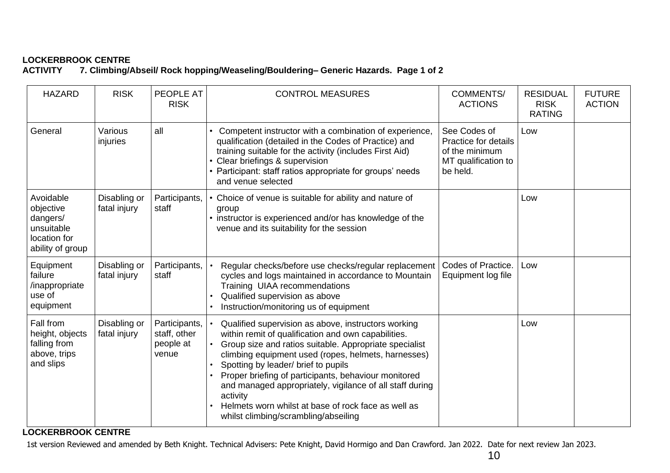# LOCKERBROOK CENTRE<br>ACTIVITY 7. Climbina/A

**ACTIVITY 7. Climbing/Abseil/ Rock hopping/Weaseling/Bouldering– Generic Hazards. Page 1 of 2**

| <b>HAZARD</b>                                                                        | <b>RISK</b>                  | <b>PEOPLE AT</b><br><b>RISK</b>                     | <b>CONTROL MEASURES</b>                                                                                                                                                                                                                                                                                                                                                                                                                                                                           | COMMENTS/<br><b>ACTIONS</b>                                                               | <b>RESIDUAL</b><br><b>RISK</b><br><b>RATING</b> | <b>FUTURE</b><br><b>ACTION</b> |
|--------------------------------------------------------------------------------------|------------------------------|-----------------------------------------------------|---------------------------------------------------------------------------------------------------------------------------------------------------------------------------------------------------------------------------------------------------------------------------------------------------------------------------------------------------------------------------------------------------------------------------------------------------------------------------------------------------|-------------------------------------------------------------------------------------------|-------------------------------------------------|--------------------------------|
| General                                                                              | Various<br>injuries          | all                                                 | Competent instructor with a combination of experience,<br>qualification (detailed in the Codes of Practice) and<br>training suitable for the activity (includes First Aid)<br>Clear briefings & supervision<br>• Participant: staff ratios appropriate for groups' needs<br>and venue selected                                                                                                                                                                                                    | See Codes of<br>Practice for details<br>of the minimum<br>MT qualification to<br>be held. | Low                                             |                                |
| Avoidable<br>objective<br>dangers/<br>unsuitable<br>location for<br>ability of group | Disabling or<br>fatal injury | Participants,<br>staff                              | • Choice of venue is suitable for ability and nature of<br>group<br>instructor is experienced and/or has knowledge of the<br>venue and its suitability for the session                                                                                                                                                                                                                                                                                                                            |                                                                                           | Low                                             |                                |
| Equipment<br>failure<br>/inappropriate<br>use of<br>equipment                        | Disabling or<br>fatal injury | Participants,<br>staff                              | Regular checks/before use checks/regular replacement<br>cycles and logs maintained in accordance to Mountain<br>Training UIAA recommendations<br>Qualified supervision as above<br>Instruction/monitoring us of equipment                                                                                                                                                                                                                                                                         | Codes of Practice.<br>Equipment log file                                                  | Low                                             |                                |
| Fall from<br>height, objects<br>falling from<br>above, trips<br>and slips            | Disabling or<br>fatal injury | Participants,<br>staff, other<br>people at<br>venue | Qualified supervision as above, instructors working<br>within remit of qualification and own capabilities.<br>Group size and ratios suitable. Appropriate specialist<br>climbing equipment used (ropes, helmets, harnesses)<br>Spotting by leader/ brief to pupils<br>Proper briefing of participants, behaviour monitored<br>and managed appropriately, vigilance of all staff during<br>activity<br>Helmets worn whilst at base of rock face as well as<br>whilst climbing/scrambling/abseiling |                                                                                           | Low                                             |                                |

# **LOCKERBROOK CENTRE**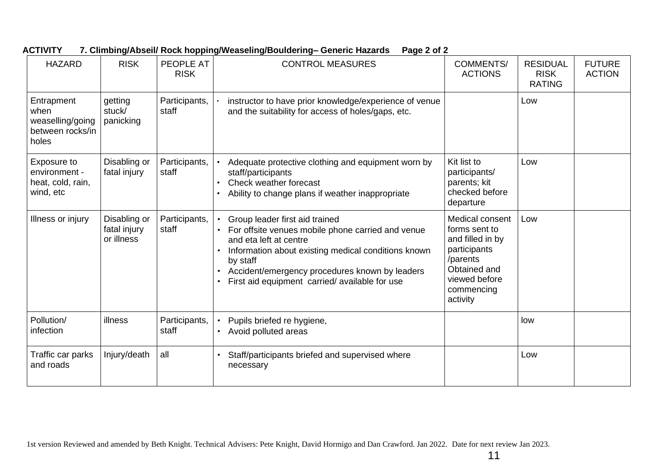| <b>HAZARD</b>                                                       | <b>RISK</b>                                | <b>PEOPLE AT</b><br><b>RISK</b> | <b>CONTROL MEASURES</b>                                                                                                                                                                                                                                                             | <b>COMMENTS/</b><br><b>ACTIONS</b>                                                                                                          | <b>RESIDUAL</b><br><b>RISK</b><br><b>RATING</b> | <b>FUTURE</b><br><b>ACTION</b> |
|---------------------------------------------------------------------|--------------------------------------------|---------------------------------|-------------------------------------------------------------------------------------------------------------------------------------------------------------------------------------------------------------------------------------------------------------------------------------|---------------------------------------------------------------------------------------------------------------------------------------------|-------------------------------------------------|--------------------------------|
| Entrapment<br>when<br>weaselling/going<br>between rocks/in<br>holes | getting<br>stuck/<br>panicking             | Participants,<br>staff          | instructor to have prior knowledge/experience of venue<br>and the suitability for access of holes/gaps, etc.                                                                                                                                                                        |                                                                                                                                             | Low                                             |                                |
| Exposure to<br>environment -<br>heat, cold, rain,<br>wind, etc      | Disabling or<br>fatal injury               | Participants,<br>staff          | Adequate protective clothing and equipment worn by<br>staff/participants<br>Check weather forecast<br>Ability to change plans if weather inappropriate                                                                                                                              | Kit list to<br>participants/<br>parents; kit<br>checked before<br>departure                                                                 | Low                                             |                                |
| Illness or injury                                                   | Disabling or<br>fatal injury<br>or illness | Participants,<br>staff          | Group leader first aid trained<br>For offsite venues mobile phone carried and venue<br>and eta left at centre<br>Information about existing medical conditions known<br>by staff<br>Accident/emergency procedures known by leaders<br>First aid equipment carried/available for use | Medical consent<br>forms sent to<br>and filled in by<br>participants<br>/parents<br>Obtained and<br>viewed before<br>commencing<br>activity | Low                                             |                                |
| Pollution/<br>infection                                             | illness                                    | Participants,<br>staff          | Pupils briefed re hygiene,<br>• Avoid polluted areas                                                                                                                                                                                                                                |                                                                                                                                             | low                                             |                                |
| Traffic car parks<br>and roads                                      | Injury/death                               | all                             | Staff/participants briefed and supervised where<br>necessary                                                                                                                                                                                                                        |                                                                                                                                             | Low                                             |                                |

**ACTIVITY 7. Climbing/Abseil/ Rock hopping/Weaseling/Bouldering– Generic Hazards Page 2 of 2**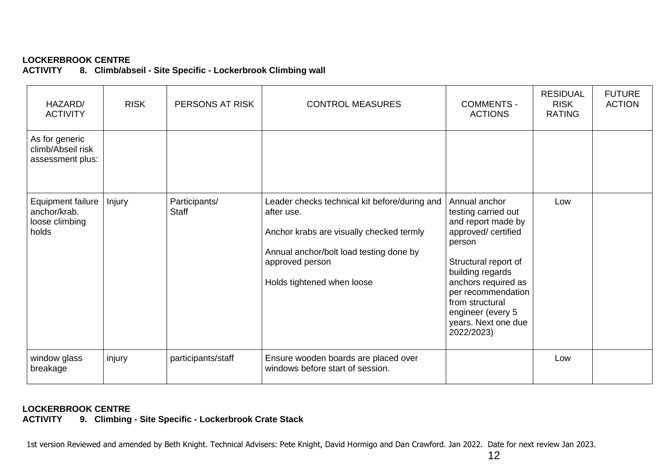8. Climb/abseil - Site Specific - Lockerbrook Climbing wall

| HAZARD/<br><b>ACTIVITY</b>                                          | <b>RISK</b> | PERSONS AT RISK               | <b>CONTROL MEASURES</b>                                                                                                                                                                             | <b>COMMENTS -</b><br><b>ACTIONS</b>                                                                                                                                                                                                                               | <b>RESIDUAL</b><br><b>RISK</b><br><b>RATING</b> | <b>FUTURE</b><br><b>ACTION</b> |
|---------------------------------------------------------------------|-------------|-------------------------------|-----------------------------------------------------------------------------------------------------------------------------------------------------------------------------------------------------|-------------------------------------------------------------------------------------------------------------------------------------------------------------------------------------------------------------------------------------------------------------------|-------------------------------------------------|--------------------------------|
| As for generic<br>climb/Abseil risk<br>assessment plus:             |             |                               |                                                                                                                                                                                                     |                                                                                                                                                                                                                                                                   |                                                 |                                |
| <b>Equipment failure</b><br>anchor/krab.<br>loose climbing<br>holds | Injury      | Participants/<br><b>Staff</b> | Leader checks technical kit before/during and<br>after use.<br>Anchor krabs are visually checked termly<br>Annual anchor/bolt load testing done by<br>approved person<br>Holds tightened when loose | Annual anchor<br>testing carried out<br>and report made by<br>approved/ certified<br>person<br>Structural report of<br>building regards<br>anchors required as<br>per recommendation<br>from structural<br>engineer (every 5<br>years. Next one due<br>2022/2023) | Low                                             |                                |
| window glass<br>breakage                                            | injury      | participants/staff            | Ensure wooden boards are placed over<br>windows before start of session.                                                                                                                            |                                                                                                                                                                                                                                                                   | Low                                             |                                |

### **LOCKERBROOK CENTRE**

**ACTIVITY 9. Climbing - Site Specific - Lockerbrook Crate Stack**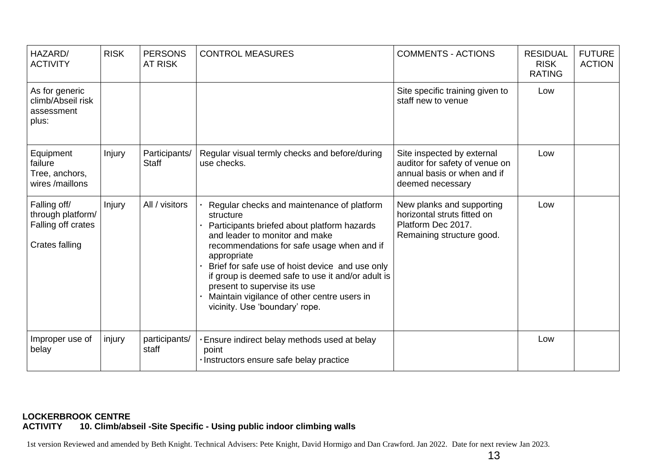| HAZARD/<br><b>ACTIVITY</b>                                                | <b>RISK</b> | <b>PERSONS</b><br><b>AT RISK</b> | <b>CONTROL MEASURES</b>                                                                                                                                                                                                                                                                                                                                                                                                        | <b>COMMENTS - ACTIONS</b>                                                                                       | <b>RESIDUAL</b><br><b>RISK</b><br><b>RATING</b> | <b>FUTURE</b><br><b>ACTION</b> |
|---------------------------------------------------------------------------|-------------|----------------------------------|--------------------------------------------------------------------------------------------------------------------------------------------------------------------------------------------------------------------------------------------------------------------------------------------------------------------------------------------------------------------------------------------------------------------------------|-----------------------------------------------------------------------------------------------------------------|-------------------------------------------------|--------------------------------|
| As for generic<br>climb/Abseil risk<br>assessment<br>plus:                |             |                                  |                                                                                                                                                                                                                                                                                                                                                                                                                                | Site specific training given to<br>staff new to venue                                                           | Low                                             |                                |
| Equipment<br>failure<br>Tree, anchors,<br>wires /maillons                 | Injury      | Participants/<br>Staff           | Regular visual termly checks and before/during<br>use checks.                                                                                                                                                                                                                                                                                                                                                                  | Site inspected by external<br>auditor for safety of venue on<br>annual basis or when and if<br>deemed necessary | Low                                             |                                |
| Falling off/<br>through platform/<br>Falling off crates<br>Crates falling | Injury      | All / visitors                   | Regular checks and maintenance of platform<br>structure<br>Participants briefed about platform hazards<br>and leader to monitor and make<br>recommendations for safe usage when and if<br>appropriate<br>Brief for safe use of hoist device and use only<br>if group is deemed safe to use it and/or adult is<br>present to supervise its use<br>Maintain vigilance of other centre users in<br>vicinity. Use 'boundary' rope. | New planks and supporting<br>horizontal struts fitted on<br>Platform Dec 2017.<br>Remaining structure good.     | Low                                             |                                |
| Improper use of<br>belay                                                  | injury      | participants/<br>staff           | Ensure indirect belay methods used at belay<br>point<br>· Instructors ensure safe belay practice                                                                                                                                                                                                                                                                                                                               |                                                                                                                 | Low                                             |                                |

#### **LOCKERBROOK CENTRE ACTIVITY 10. Climb/abseil -Site Specific - Using public indoor climbing walls**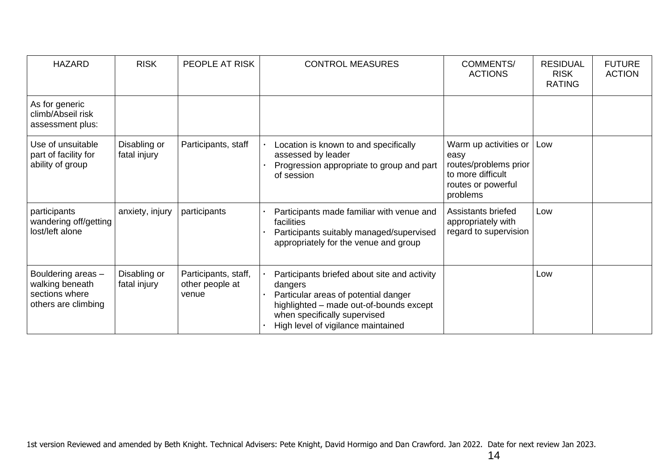| <b>HAZARD</b>                                                                  | <b>RISK</b>                  | PEOPLE AT RISK                                   | <b>CONTROL MEASURES</b>                                                                                                                                                                                          | <b>COMMENTS/</b><br><b>ACTIONS</b>                                                                            | <b>RESIDUAL</b><br><b>RISK</b><br><b>RATING</b> | <b>FUTURE</b><br><b>ACTION</b> |
|--------------------------------------------------------------------------------|------------------------------|--------------------------------------------------|------------------------------------------------------------------------------------------------------------------------------------------------------------------------------------------------------------------|---------------------------------------------------------------------------------------------------------------|-------------------------------------------------|--------------------------------|
| As for generic<br>climb/Abseil risk<br>assessment plus:                        |                              |                                                  |                                                                                                                                                                                                                  |                                                                                                               |                                                 |                                |
| Use of unsuitable<br>part of facility for<br>ability of group                  | Disabling or<br>fatal injury | Participants, staff                              | Location is known to and specifically<br>assessed by leader<br>Progression appropriate to group and part<br>of session                                                                                           | Warm up activities or<br>easy<br>routes/problems prior<br>to more difficult<br>routes or powerful<br>problems | Low                                             |                                |
| participants<br>wandering off/getting<br>lost/left alone                       | anxiety, injury              | participants                                     | Participants made familiar with venue and<br>facilities<br>Participants suitably managed/supervised<br>appropriately for the venue and group                                                                     | Assistants briefed<br>appropriately with<br>regard to supervision                                             | Low                                             |                                |
| Bouldering areas -<br>walking beneath<br>sections where<br>others are climbing | Disabling or<br>fatal injury | Participants, staff,<br>other people at<br>venue | Participants briefed about site and activity<br>dangers<br>Particular areas of potential danger<br>highlighted - made out-of-bounds except<br>when specifically supervised<br>High level of vigilance maintained |                                                                                                               | Low                                             |                                |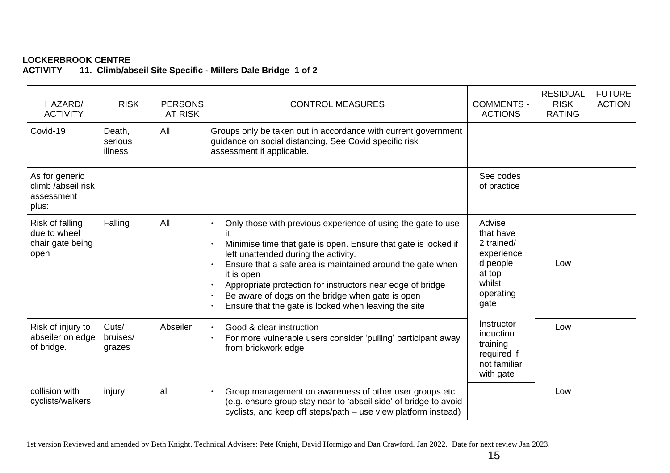#### **LOCKERBROOK CENTRE** 11. Climb/abseil Site Specific - Millers Dale Bridge 1 of 2

| HAZARD/<br><b>ACTIVITY</b>                                  | <b>RISK</b>                  | <b>PERSONS</b><br><b>AT RISK</b> | <b>CONTROL MEASURES</b>                                                                                                                                                                                                                                                                                                                                                                                                      | <b>COMMENTS -</b><br><b>ACTIONS</b>                                                                  | <b>RESIDUAL</b><br><b>RISK</b><br><b>RATING</b> | <b>FUTURE</b><br><b>ACTION</b> |
|-------------------------------------------------------------|------------------------------|----------------------------------|------------------------------------------------------------------------------------------------------------------------------------------------------------------------------------------------------------------------------------------------------------------------------------------------------------------------------------------------------------------------------------------------------------------------------|------------------------------------------------------------------------------------------------------|-------------------------------------------------|--------------------------------|
| Covid-19                                                    | Death,<br>serious<br>illness | All                              | Groups only be taken out in accordance with current government<br>guidance on social distancing, See Covid specific risk<br>assessment if applicable.                                                                                                                                                                                                                                                                        |                                                                                                      |                                                 |                                |
| As for generic<br>climb /abseil risk<br>assessment<br>plus: |                              |                                  |                                                                                                                                                                                                                                                                                                                                                                                                                              | See codes<br>of practice                                                                             |                                                 |                                |
| Risk of falling<br>due to wheel<br>chair gate being<br>open | Falling                      | All                              | Only those with previous experience of using the gate to use<br>Minimise time that gate is open. Ensure that gate is locked if<br>left unattended during the activity.<br>Ensure that a safe area is maintained around the gate when<br>it is open<br>Appropriate protection for instructors near edge of bridge<br>Be aware of dogs on the bridge when gate is open<br>Ensure that the gate is locked when leaving the site | Advise<br>that have<br>2 trained/<br>experience<br>d people<br>at top<br>whilst<br>operating<br>gate | Low                                             |                                |
| Risk of injury to<br>abseiler on edge<br>of bridge.         | Cuts/<br>bruises/<br>grazes  | Abseiler                         | Good & clear instruction<br>For more vulnerable users consider 'pulling' participant away<br>from brickwork edge                                                                                                                                                                                                                                                                                                             | Instructor<br>induction<br>training<br>required if<br>not familiar<br>with gate                      | Low                                             |                                |
| collision with<br>cyclists/walkers                          | injury                       | all                              | Group management on awareness of other user groups etc,<br>(e.g. ensure group stay near to 'abseil side' of bridge to avoid<br>cyclists, and keep off steps/path - use view platform instead)                                                                                                                                                                                                                                |                                                                                                      | Low                                             |                                |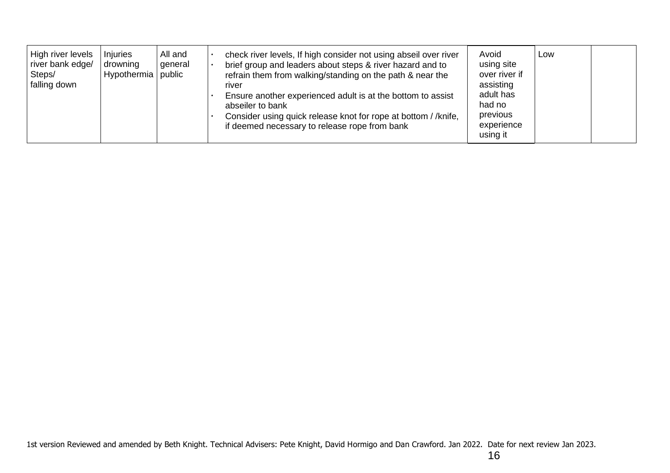| High river levels<br>river bank edge/<br>Steps/<br>falling down | Injuries<br>drowning<br>Hypothermia public | All and<br>general |  | check river levels, If high consider not using abseil over river<br>brief group and leaders about steps & river hazard and to<br>refrain them from walking/standing on the path & near the<br>river<br>Ensure another experienced adult is at the bottom to assist<br>abseiler to bank<br>Consider using quick release knot for rope at bottom //knife,<br>if deemed necessary to release rope from bank | Avoid<br>using site<br>over river if<br>assisting<br>adult has<br>had no<br>previous<br>experience<br>using it | Low |  |
|-----------------------------------------------------------------|--------------------------------------------|--------------------|--|----------------------------------------------------------------------------------------------------------------------------------------------------------------------------------------------------------------------------------------------------------------------------------------------------------------------------------------------------------------------------------------------------------|----------------------------------------------------------------------------------------------------------------|-----|--|
|-----------------------------------------------------------------|--------------------------------------------|--------------------|--|----------------------------------------------------------------------------------------------------------------------------------------------------------------------------------------------------------------------------------------------------------------------------------------------------------------------------------------------------------------------------------------------------------|----------------------------------------------------------------------------------------------------------------|-----|--|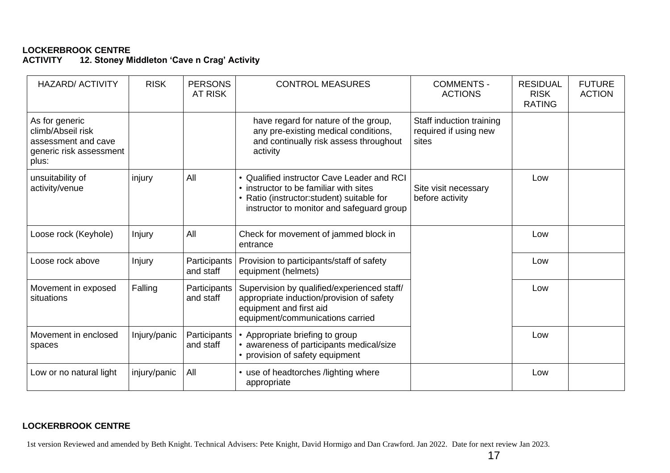#### **LOCKERBROOK CENTRE** 12. Stoney Middleton 'Cave n Crag' Activity

| <b>HAZARD/ ACTIVITY</b>                                                                        | <b>RISK</b>  | <b>PERSONS</b><br><b>AT RISK</b> | <b>CONTROL MEASURES</b>                                                                                                                                                         | <b>COMMENTS -</b><br><b>ACTIONS</b>                        | <b>RESIDUAL</b><br><b>RISK</b><br><b>RATING</b> | <b>FUTURE</b><br><b>ACTION</b> |
|------------------------------------------------------------------------------------------------|--------------|----------------------------------|---------------------------------------------------------------------------------------------------------------------------------------------------------------------------------|------------------------------------------------------------|-------------------------------------------------|--------------------------------|
| As for generic<br>climb/Abseil risk<br>assessment and cave<br>generic risk assessment<br>plus: |              |                                  | have regard for nature of the group,<br>any pre-existing medical conditions,<br>and continually risk assess throughout<br>activity                                              | Staff induction training<br>required if using new<br>sites |                                                 |                                |
| unsuitability of<br>activity/venue                                                             | injury       | All                              | • Qualified instructor Cave Leader and RCI<br>• instructor to be familiar with sites<br>• Ratio (instructor: student) suitable for<br>instructor to monitor and safeguard group | Site visit necessary<br>before activity                    | Low                                             |                                |
| Loose rock (Keyhole)                                                                           | Injury       | All                              | Check for movement of jammed block in<br>entrance                                                                                                                               |                                                            | Low                                             |                                |
| Loose rock above                                                                               | Injury       | Participants<br>and staff        | Provision to participants/staff of safety<br>equipment (helmets)                                                                                                                |                                                            | Low                                             |                                |
| Movement in exposed<br>situations                                                              | Falling      | Participants<br>and staff        | Supervision by qualified/experienced staff/<br>appropriate induction/provision of safety<br>equipment and first aid<br>equipment/communications carried                         |                                                            | Low                                             |                                |
| Movement in enclosed<br>spaces                                                                 | Injury/panic | Participants<br>and staff        | • Appropriate briefing to group<br>• awareness of participants medical/size<br>• provision of safety equipment                                                                  |                                                            | Low                                             |                                |
| Low or no natural light                                                                        | injury/panic | All                              | • use of headtorches /lighting where<br>appropriate                                                                                                                             |                                                            | Low                                             |                                |

# **LOCKERBROOK CENTRE**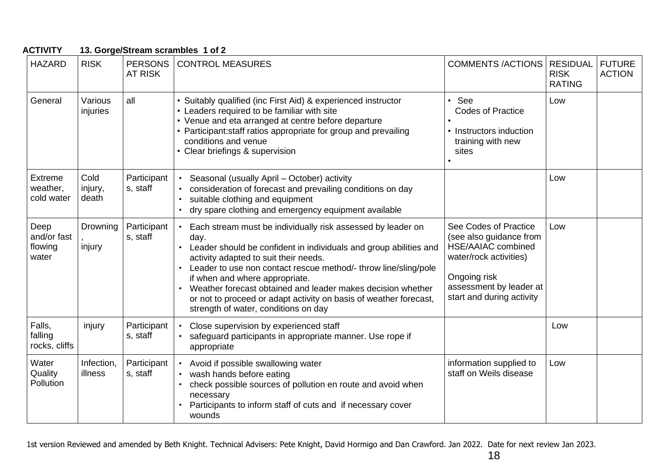| <b>ACTIVITY</b>                          |                          |                                  | 13. Gorge/Stream scrambles 1 of 2                                                                                                                                                                                                                                                                                                                                                                                                                                  |                                                                                                                                                                                 |                                                 |                                |
|------------------------------------------|--------------------------|----------------------------------|--------------------------------------------------------------------------------------------------------------------------------------------------------------------------------------------------------------------------------------------------------------------------------------------------------------------------------------------------------------------------------------------------------------------------------------------------------------------|---------------------------------------------------------------------------------------------------------------------------------------------------------------------------------|-------------------------------------------------|--------------------------------|
| <b>HAZARD</b>                            | <b>RISK</b>              | <b>PERSONS</b><br><b>AT RISK</b> | <b>CONTROL MEASURES</b>                                                                                                                                                                                                                                                                                                                                                                                                                                            | <b>COMMENTS /ACTIONS</b>                                                                                                                                                        | <b>RESIDUAL</b><br><b>RISK</b><br><b>RATING</b> | <b>FUTURE</b><br><b>ACTION</b> |
| General                                  | Various<br>injuries      | all                              | • Suitably qualified (inc First Aid) & experienced instructor<br>• Leaders required to be familiar with site<br>• Venue and eta arranged at centre before departure<br>• Participant: staff ratios appropriate for group and prevailing<br>conditions and venue<br>Clear briefings & supervision                                                                                                                                                                   | See<br>$\bullet$<br><b>Codes of Practice</b><br>• Instructors induction<br>training with new<br>sites                                                                           | Low                                             |                                |
| <b>Extreme</b><br>weather,<br>cold water | Cold<br>injury,<br>death | Participant<br>s, staff          | Seasonal (usually April - October) activity<br>consideration of forecast and prevailing conditions on day<br>suitable clothing and equipment<br>dry spare clothing and emergency equipment available                                                                                                                                                                                                                                                               |                                                                                                                                                                                 | Low                                             |                                |
| Deep<br>and/or fast<br>flowing<br>water  | Drowning<br>injury       | Participant<br>s, staff          | Each stream must be individually risk assessed by leader on<br>day.<br>Leader should be confident in individuals and group abilities and<br>activity adapted to suit their needs.<br>Leader to use non contact rescue method/- throw line/sling/pole<br>if when and where appropriate.<br>Weather forecast obtained and leader makes decision whether<br>or not to proceed or adapt activity on basis of weather forecast,<br>strength of water, conditions on day | See Codes of Practice<br>(see also guidance from<br><b>HSE/AAIAC combined</b><br>water/rock activities)<br>Ongoing risk<br>assessment by leader at<br>start and during activity | Low                                             |                                |
| Falls,<br>falling<br>rocks, cliffs       | injury                   | Participant<br>s, staff          | Close supervision by experienced staff<br>safeguard participants in appropriate manner. Use rope if<br>appropriate                                                                                                                                                                                                                                                                                                                                                 |                                                                                                                                                                                 | Low                                             |                                |
| Water<br>Quality<br>Pollution            | Infection,<br>illness    | Participant<br>s, staff          | Avoid if possible swallowing water<br>wash hands before eating<br>check possible sources of pollution en route and avoid when<br>necessary<br>Participants to inform staff of cuts and if necessary cover<br>wounds                                                                                                                                                                                                                                                | information supplied to<br>staff on Weils disease                                                                                                                               | Low                                             |                                |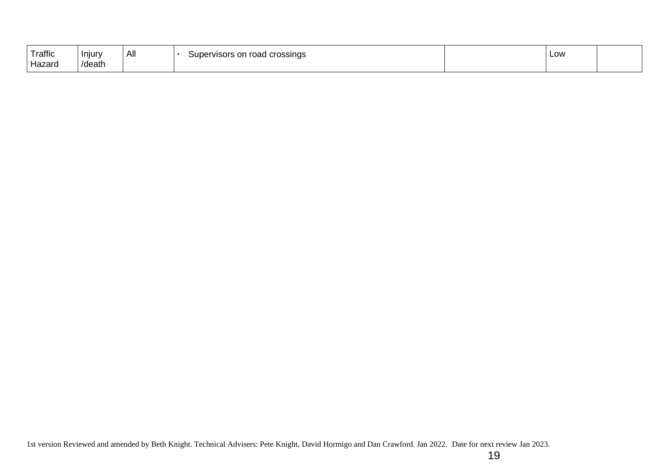| Traffic | Injury | All | Supervisors on road crossings | Low |  |
|---------|--------|-----|-------------------------------|-----|--|
| Hazaro  | /death |     |                               |     |  |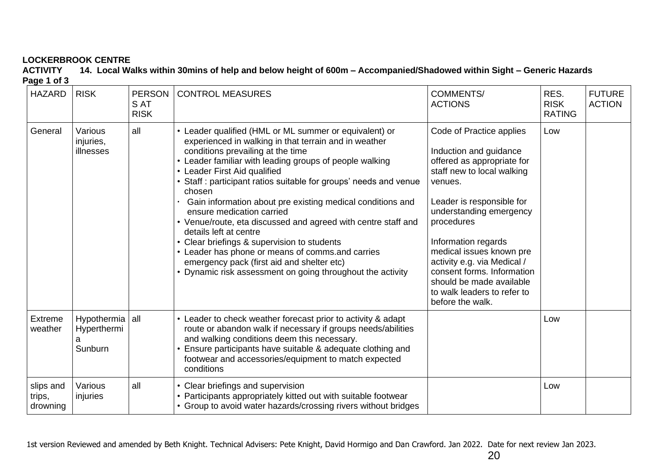**ACTIVITY 14. Local Walks within 30mins of help and below height of 600m – Accompanied/Shadowed within Sight – Generic Hazards Page 1 of 3**

| <b>HAZARD</b>                   | <b>RISK</b>                                    | <b>PERSON</b><br>S AT<br><b>RISK</b> | <b>CONTROL MEASURES</b>                                                                                                                                                                                                                                                                                                                                                                                                                                                                                                                                                                                                                                                                                                           | <b>COMMENTS/</b><br><b>ACTIONS</b>                                                                                                                                                                                                                                                                                                                                                             | RES.<br><b>RISK</b><br><b>RATING</b> | <b>FUTURE</b><br><b>ACTION</b> |
|---------------------------------|------------------------------------------------|--------------------------------------|-----------------------------------------------------------------------------------------------------------------------------------------------------------------------------------------------------------------------------------------------------------------------------------------------------------------------------------------------------------------------------------------------------------------------------------------------------------------------------------------------------------------------------------------------------------------------------------------------------------------------------------------------------------------------------------------------------------------------------------|------------------------------------------------------------------------------------------------------------------------------------------------------------------------------------------------------------------------------------------------------------------------------------------------------------------------------------------------------------------------------------------------|--------------------------------------|--------------------------------|
| General                         | Various<br>injuries,<br>illnesses              | all                                  | • Leader qualified (HML or ML summer or equivalent) or<br>experienced in walking in that terrain and in weather<br>conditions prevailing at the time<br>Leader familiar with leading groups of people walking<br>• Leader First Aid qualified<br>• Staff : participant ratios suitable for groups' needs and venue<br>chosen<br>Gain information about pre existing medical conditions and<br>ensure medication carried<br>• Venue/route, eta discussed and agreed with centre staff and<br>details left at centre<br>• Clear briefings & supervision to students<br>• Leader has phone or means of comms.and carries<br>emergency pack (first aid and shelter etc)<br>• Dynamic risk assessment on going throughout the activity | Code of Practice applies<br>Induction and guidance<br>offered as appropriate for<br>staff new to local walking<br>venues.<br>Leader is responsible for<br>understanding emergency<br>procedures<br>Information regards<br>medical issues known pre<br>activity e.g. via Medical /<br>consent forms. Information<br>should be made available<br>to walk leaders to refer to<br>before the walk. | Low                                  |                                |
| Extreme<br>weather              | Hypothermia all<br>Hyperthermi<br>а<br>Sunburn |                                      | • Leader to check weather forecast prior to activity & adapt<br>route or abandon walk if necessary if groups needs/abilities<br>and walking conditions deem this necessary.<br>Ensure participants have suitable & adequate clothing and<br>footwear and accessories/equipment to match expected<br>conditions                                                                                                                                                                                                                                                                                                                                                                                                                    |                                                                                                                                                                                                                                                                                                                                                                                                | Low                                  |                                |
| slips and<br>trips,<br>drowning | Various<br>injuries                            | all                                  | • Clear briefings and supervision<br>• Participants appropriately kitted out with suitable footwear<br>• Group to avoid water hazards/crossing rivers without bridges                                                                                                                                                                                                                                                                                                                                                                                                                                                                                                                                                             |                                                                                                                                                                                                                                                                                                                                                                                                | Low                                  |                                |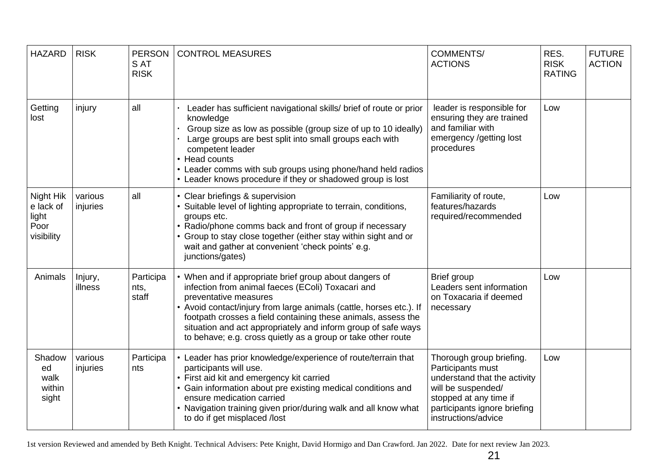| <b>HAZARD</b>                                         | <b>RISK</b>         | <b>PERSON</b><br>S AT<br><b>RISK</b> | <b>CONTROL MEASURES</b>                                                                                                                                                                                                                                                                                                                                                                                       | <b>COMMENTS/</b><br><b>ACTIONS</b>                                                                                                                                                   | RES.<br><b>RISK</b><br><b>RATING</b> | <b>FUTURE</b><br><b>ACTION</b> |
|-------------------------------------------------------|---------------------|--------------------------------------|---------------------------------------------------------------------------------------------------------------------------------------------------------------------------------------------------------------------------------------------------------------------------------------------------------------------------------------------------------------------------------------------------------------|--------------------------------------------------------------------------------------------------------------------------------------------------------------------------------------|--------------------------------------|--------------------------------|
| Getting<br>lost                                       | injury              | all                                  | Leader has sufficient navigational skills/ brief of route or prior<br>knowledge<br>Group size as low as possible (group size of up to 10 ideally)<br>Large groups are best split into small groups each with<br>competent leader<br>• Head counts<br>• Leader comms with sub groups using phone/hand held radios<br>• Leader knows procedure if they or shadowed group is lost                                | leader is responsible for<br>ensuring they are trained<br>and familiar with<br>emergency /getting lost<br>procedures                                                                 | Low                                  |                                |
| Night Hik<br>e lack of<br>light<br>Poor<br>visibility | various<br>injuries | all                                  | • Clear briefings & supervision<br>• Suitable level of lighting appropriate to terrain, conditions,<br>groups etc.<br>• Radio/phone comms back and front of group if necessary<br>• Group to stay close together (either stay within sight and or<br>wait and gather at convenient 'check points' e.g.<br>junctions/gates)                                                                                    | Familiarity of route,<br>features/hazards<br>required/recommended                                                                                                                    | Low                                  |                                |
| Animals                                               | Injury,<br>illness  | Participa<br>nts,<br>staff           | • When and if appropriate brief group about dangers of<br>infection from animal faeces (EColi) Toxacari and<br>preventative measures<br>• Avoid contact/injury from large animals (cattle, horses etc.). If<br>footpath crosses a field containing these animals, assess the<br>situation and act appropriately and inform group of safe ways<br>to behave; e.g. cross quietly as a group or take other route | Brief group<br>Leaders sent information<br>on Toxacaria if deemed<br>necessary                                                                                                       | Low                                  |                                |
| Shadow<br>ed<br>walk<br>within<br>sight               | various<br>injuries | Participa<br>nts                     | • Leader has prior knowledge/experience of route/terrain that<br>participants will use.<br>• First aid kit and emergency kit carried<br>• Gain information about pre existing medical conditions and<br>ensure medication carried<br>• Navigation training given prior/during walk and all know what<br>to do if get misplaced /lost                                                                          | Thorough group briefing.<br>Participants must<br>understand that the activity<br>will be suspended/<br>stopped at any time if<br>participants ignore briefing<br>instructions/advice | Low                                  |                                |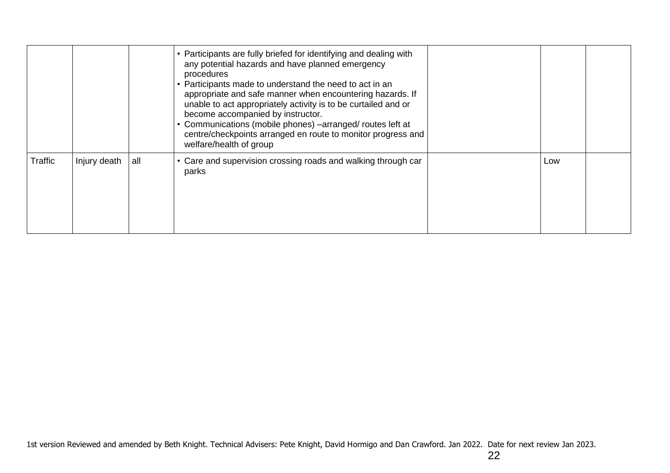|         |              |     | • Participants are fully briefed for identifying and dealing with<br>any potential hazards and have planned emergency<br>procedures<br>• Participants made to understand the need to act in an<br>appropriate and safe manner when encountering hazards. If<br>unable to act appropriately activity is to be curtailed and or<br>become accompanied by instructor.<br>Communications (mobile phones) -arranged/ routes left at<br>centre/checkpoints arranged en route to monitor progress and<br>welfare/health of group |     |  |
|---------|--------------|-----|---------------------------------------------------------------------------------------------------------------------------------------------------------------------------------------------------------------------------------------------------------------------------------------------------------------------------------------------------------------------------------------------------------------------------------------------------------------------------------------------------------------------------|-----|--|
| Traffic | Injury death | all | • Care and supervision crossing roads and walking through car<br>parks                                                                                                                                                                                                                                                                                                                                                                                                                                                    | Low |  |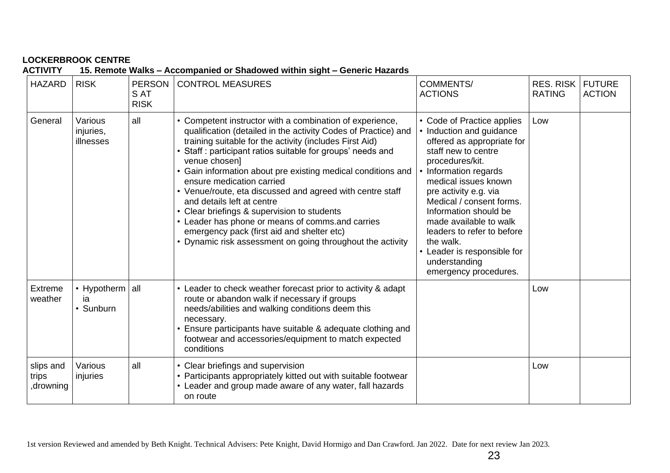| <b>ACTIVITY</b>                  |                                    |                                      | 15. Remote Walks - Accompanied or Shadowed within sight - Generic Hazards                                                                                                                                                                                                                                                                                                                                                                                                                                                                                                                                                                                             |                                                                                                                                                                                                                                                                                                                                                                                                             |                                   |                                |
|----------------------------------|------------------------------------|--------------------------------------|-----------------------------------------------------------------------------------------------------------------------------------------------------------------------------------------------------------------------------------------------------------------------------------------------------------------------------------------------------------------------------------------------------------------------------------------------------------------------------------------------------------------------------------------------------------------------------------------------------------------------------------------------------------------------|-------------------------------------------------------------------------------------------------------------------------------------------------------------------------------------------------------------------------------------------------------------------------------------------------------------------------------------------------------------------------------------------------------------|-----------------------------------|--------------------------------|
| <b>HAZARD</b>                    | <b>RISK</b>                        | <b>PERSON</b><br>S AT<br><b>RISK</b> | <b>CONTROL MEASURES</b>                                                                                                                                                                                                                                                                                                                                                                                                                                                                                                                                                                                                                                               | <b>COMMENTS/</b><br><b>ACTIONS</b>                                                                                                                                                                                                                                                                                                                                                                          | <b>RES. RISK</b><br><b>RATING</b> | <b>FUTURE</b><br><b>ACTION</b> |
| General                          | Various<br>injuries,<br>illnesses  | all                                  | • Competent instructor with a combination of experience,<br>qualification (detailed in the activity Codes of Practice) and<br>training suitable for the activity (includes First Aid)<br>Staff: participant ratios suitable for groups' needs and<br>venue chosen]<br>Gain information about pre existing medical conditions and<br>ensure medication carried<br>• Venue/route, eta discussed and agreed with centre staff<br>and details left at centre<br>Clear briefings & supervision to students<br>• Leader has phone or means of comms.and carries<br>emergency pack (first aid and shelter etc)<br>• Dynamic risk assessment on going throughout the activity | • Code of Practice applies<br>• Induction and guidance<br>offered as appropriate for<br>staff new to centre<br>procedures/kit.<br>• Information regards<br>medical issues known<br>pre activity e.g. via<br>Medical / consent forms.<br>Information should be<br>made available to walk<br>leaders to refer to before<br>the walk.<br>• Leader is responsible for<br>understanding<br>emergency procedures. | Low                               |                                |
| <b>Extreme</b><br>weather        | • Hypotherm all<br>iа<br>• Sunburn |                                      | • Leader to check weather forecast prior to activity & adapt<br>route or abandon walk if necessary if groups<br>needs/abilities and walking conditions deem this<br>necessary.<br>Ensure participants have suitable & adequate clothing and<br>footwear and accessories/equipment to match expected<br>conditions                                                                                                                                                                                                                                                                                                                                                     |                                                                                                                                                                                                                                                                                                                                                                                                             | Low                               |                                |
| slips and<br>trips<br>, drowning | Various<br>injuries                | all                                  | • Clear briefings and supervision<br>• Participants appropriately kitted out with suitable footwear<br>• Leader and group made aware of any water, fall hazards<br>on route                                                                                                                                                                                                                                                                                                                                                                                                                                                                                           |                                                                                                                                                                                                                                                                                                                                                                                                             | Low                               |                                |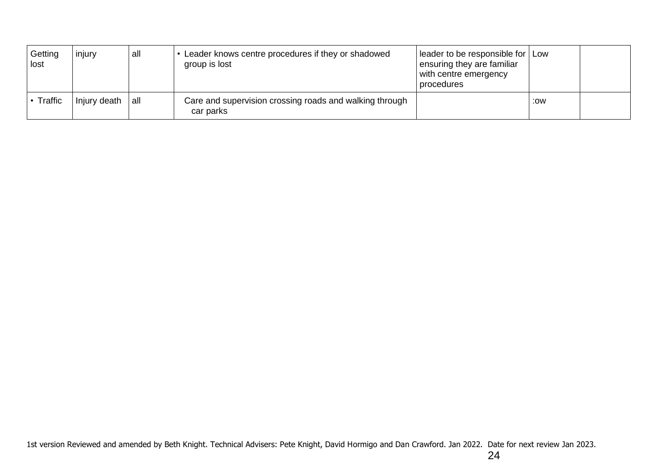| Getting<br>lost | injury       | all | Leader knows centre procedures if they or shadowed<br>group is lost  | leader to be responsible for   Low<br>ensuring they are familiar<br>with centre emergency<br>procedures |     |  |
|-----------------|--------------|-----|----------------------------------------------------------------------|---------------------------------------------------------------------------------------------------------|-----|--|
| • Traffic       | Injury death | all | Care and supervision crossing roads and walking through<br>car parks |                                                                                                         | :0W |  |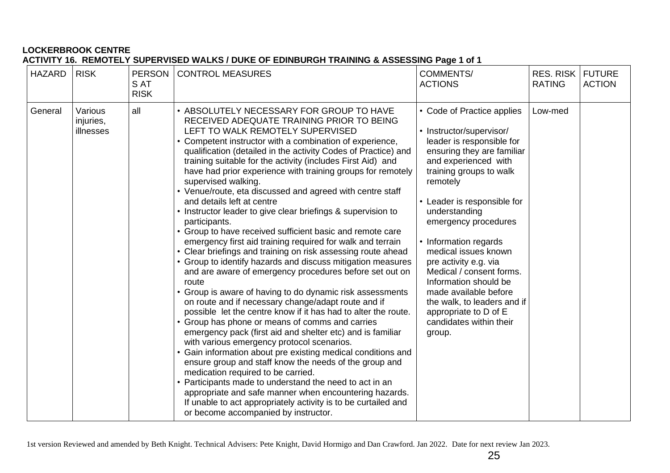### **LOCKERBROOK CENTRE ACTIVITY 16. REMOTELY SUPERVISED WALKS / DUKE OF EDINBURGH TRAINING & ASSESSING Page 1 of 1**

| <b>HAZARD</b> | <b>RISK</b>                       | <b>PERSON</b><br>S AT<br><b>RISK</b> | <b>CONTROL MEASURES</b>                                                                                                                                                                                                                                                                                                                                                                                                                                                                                                                                                                                                                                                                                                                                                                                                                                                                                                                                                                                                                                                                                                                                                                                                                                                                                                                                                                                                                                                                                                                                                                                                                                        | <b>COMMENTS/</b><br><b>ACTIONS</b>                                                                                                                                                                                                                                                                                                                                                                                                                                                                            | <b>RES. RISK</b><br><b>RATING</b> | <b>FUTURE</b><br><b>ACTION</b> |
|---------------|-----------------------------------|--------------------------------------|----------------------------------------------------------------------------------------------------------------------------------------------------------------------------------------------------------------------------------------------------------------------------------------------------------------------------------------------------------------------------------------------------------------------------------------------------------------------------------------------------------------------------------------------------------------------------------------------------------------------------------------------------------------------------------------------------------------------------------------------------------------------------------------------------------------------------------------------------------------------------------------------------------------------------------------------------------------------------------------------------------------------------------------------------------------------------------------------------------------------------------------------------------------------------------------------------------------------------------------------------------------------------------------------------------------------------------------------------------------------------------------------------------------------------------------------------------------------------------------------------------------------------------------------------------------------------------------------------------------------------------------------------------------|---------------------------------------------------------------------------------------------------------------------------------------------------------------------------------------------------------------------------------------------------------------------------------------------------------------------------------------------------------------------------------------------------------------------------------------------------------------------------------------------------------------|-----------------------------------|--------------------------------|
| General       | Various<br>injuries,<br>illnesses | all                                  | • ABSOLUTELY NECESSARY FOR GROUP TO HAVE<br>RECEIVED ADEQUATE TRAINING PRIOR TO BEING<br>LEFT TO WALK REMOTELY SUPERVISED<br>Competent instructor with a combination of experience,<br>qualification (detailed in the activity Codes of Practice) and<br>training suitable for the activity (includes First Aid) and<br>have had prior experience with training groups for remotely<br>supervised walking.<br>• Venue/route, eta discussed and agreed with centre staff<br>and details left at centre<br>Instructor leader to give clear briefings & supervision to<br>participants.<br>Group to have received sufficient basic and remote care<br>emergency first aid training required for walk and terrain<br>• Clear briefings and training on risk assessing route ahead<br>• Group to identify hazards and discuss mitigation measures<br>and are aware of emergency procedures before set out on<br>route<br>• Group is aware of having to do dynamic risk assessments<br>on route and if necessary change/adapt route and if<br>possible let the centre know if it has had to alter the route.<br>Group has phone or means of comms and carries<br>emergency pack (first aid and shelter etc) and is familiar<br>with various emergency protocol scenarios.<br>Gain information about pre existing medical conditions and<br>ensure group and staff know the needs of the group and<br>medication required to be carried.<br>Participants made to understand the need to act in an<br>appropriate and safe manner when encountering hazards.<br>If unable to act appropriately activity is to be curtailed and<br>or become accompanied by instructor. | • Code of Practice applies<br>• Instructor/supervisor/<br>leader is responsible for<br>ensuring they are familiar<br>and experienced with<br>training groups to walk<br>remotely<br>• Leader is responsible for<br>understanding<br>emergency procedures<br>• Information regards<br>medical issues known<br>pre activity e.g. via<br>Medical / consent forms.<br>Information should be<br>made available before<br>the walk, to leaders and if<br>appropriate to D of E<br>candidates within their<br>group. | Low-med                           |                                |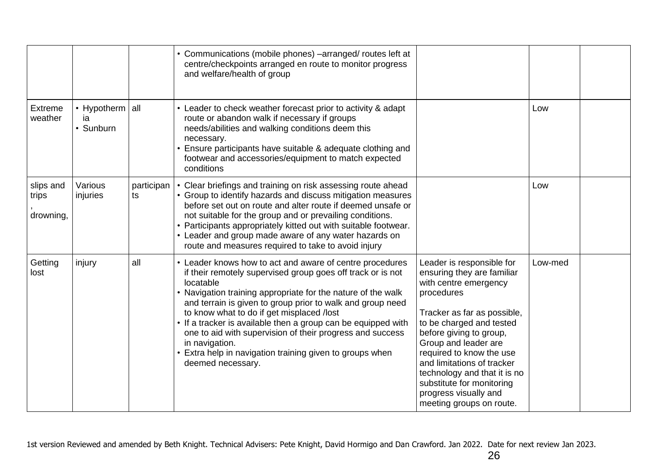|                                 |                                    |                  | • Communications (mobile phones) -arranged/ routes left at<br>centre/checkpoints arranged en route to monitor progress<br>and welfare/health of group                                                                                                                                                                                                                                                                                                                                                                                          |                                                                                                                                                                                                                                                                                                                                                                                          |         |  |
|---------------------------------|------------------------------------|------------------|------------------------------------------------------------------------------------------------------------------------------------------------------------------------------------------------------------------------------------------------------------------------------------------------------------------------------------------------------------------------------------------------------------------------------------------------------------------------------------------------------------------------------------------------|------------------------------------------------------------------------------------------------------------------------------------------------------------------------------------------------------------------------------------------------------------------------------------------------------------------------------------------------------------------------------------------|---------|--|
| Extreme<br>weather              | • Hypotherm all<br>ia<br>• Sunburn |                  | • Leader to check weather forecast prior to activity & adapt<br>route or abandon walk if necessary if groups<br>needs/abilities and walking conditions deem this<br>necessary.<br>• Ensure participants have suitable & adequate clothing and<br>footwear and accessories/equipment to match expected<br>conditions                                                                                                                                                                                                                            |                                                                                                                                                                                                                                                                                                                                                                                          | Low     |  |
| slips and<br>trips<br>drowning, | Various<br>injuries                | participan<br>ts | • Clear briefings and training on risk assessing route ahead<br>• Group to identify hazards and discuss mitigation measures<br>before set out on route and alter route if deemed unsafe or<br>not suitable for the group and or prevailing conditions.<br>• Participants appropriately kitted out with suitable footwear.<br>• Leader and group made aware of any water hazards on<br>route and measures required to take to avoid injury                                                                                                      |                                                                                                                                                                                                                                                                                                                                                                                          | Low     |  |
| Getting<br>lost                 | injury                             | all              | • Leader knows how to act and aware of centre procedures<br>if their remotely supervised group goes off track or is not<br>locatable<br>• Navigation training appropriate for the nature of the walk<br>and terrain is given to group prior to walk and group need<br>to know what to do if get misplaced /lost<br>• If a tracker is available then a group can be equipped with<br>one to aid with supervision of their progress and success<br>in navigation.<br>Extra help in navigation training given to groups when<br>deemed necessary. | Leader is responsible for<br>ensuring they are familiar<br>with centre emergency<br>procedures<br>Tracker as far as possible,<br>to be charged and tested<br>before giving to group,<br>Group and leader are<br>required to know the use<br>and limitations of tracker<br>technology and that it is no<br>substitute for monitoring<br>progress visually and<br>meeting groups on route. | Low-med |  |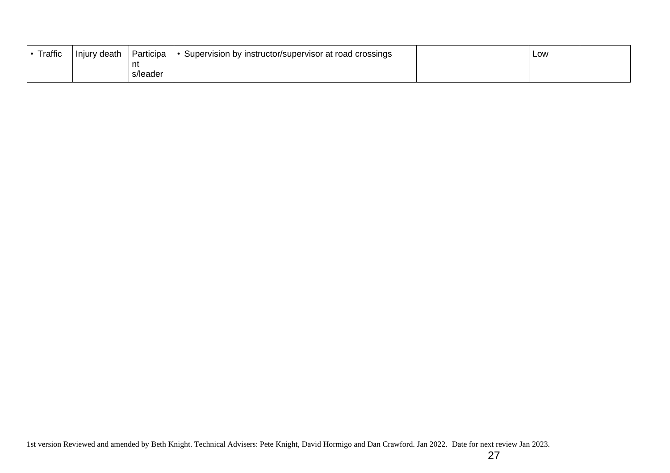| <b>Traffic</b> | Injury death | <b>Participa</b> | Supervision by instructor/supervisor at road crossings | Low |  |
|----------------|--------------|------------------|--------------------------------------------------------|-----|--|
|                |              | nt               |                                                        |     |  |
|                |              | s/leader         |                                                        |     |  |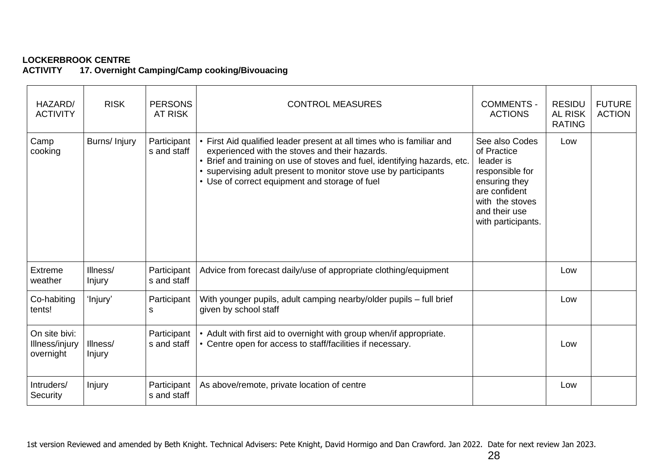**17. Overnight Camping/Camp cooking/Bivouacing** 

| HAZARD/<br><b>ACTIVITY</b>                   | <b>RISK</b>               | <b>PERSONS</b><br><b>AT RISK</b> | <b>CONTROL MEASURES</b>                                                                                                                                                                                                                                                                                                | <b>COMMENTS -</b><br><b>ACTIONS</b>                                                                                                                       | <b>RESIDU</b><br><b>AL RISK</b><br><b>RATING</b> | <b>FUTURE</b><br><b>ACTION</b> |
|----------------------------------------------|---------------------------|----------------------------------|------------------------------------------------------------------------------------------------------------------------------------------------------------------------------------------------------------------------------------------------------------------------------------------------------------------------|-----------------------------------------------------------------------------------------------------------------------------------------------------------|--------------------------------------------------|--------------------------------|
| Camp<br>cooking                              | Burns/ Injury             | Participant<br>s and staff       | First Aid qualified leader present at all times who is familiar and<br>experienced with the stoves and their hazards.<br>Brief and training on use of stoves and fuel, identifying hazards, etc.<br>• supervising adult present to monitor stove use by participants<br>• Use of correct equipment and storage of fuel | See also Codes<br>of Practice<br>leader is<br>responsible for<br>ensuring they<br>are confident<br>with the stoves<br>and their use<br>with participants. | Low                                              |                                |
| Extreme<br>weather                           | Illness/<br><b>Injury</b> | Participant<br>s and staff       | Advice from forecast daily/use of appropriate clothing/equipment                                                                                                                                                                                                                                                       |                                                                                                                                                           | Low                                              |                                |
| Co-habiting<br>tents!                        | 'Injury'                  | Participant<br>S                 | With younger pupils, adult camping nearby/older pupils - full brief<br>given by school staff                                                                                                                                                                                                                           |                                                                                                                                                           | Low                                              |                                |
| On site bivi:<br>Illness/injury<br>overnight | Illness/<br>Injury        | Participant<br>s and staff       | • Adult with first aid to overnight with group when/if appropriate.<br>• Centre open for access to staff/facilities if necessary.                                                                                                                                                                                      |                                                                                                                                                           | Low                                              |                                |
| Intruders/<br>Security                       | Injury                    | Participant<br>s and staff       | As above/remote, private location of centre                                                                                                                                                                                                                                                                            |                                                                                                                                                           | Low                                              |                                |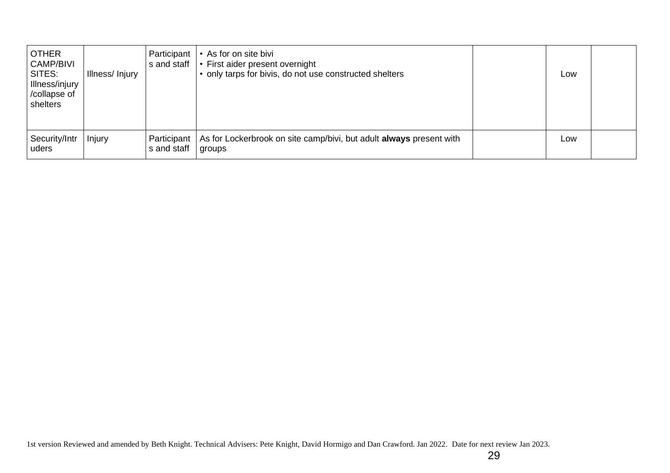| <b>OTHER</b><br><b>CAMP/BIVI</b><br>SITES:<br>Illness/injury<br>/collapse of<br>shelters | Illness/Injury | Participant<br>s and staff | • As for on site bivi<br>• First aider present overnight<br>• only tarps for bivis, do not use constructed shelters | Low |  |
|------------------------------------------------------------------------------------------|----------------|----------------------------|---------------------------------------------------------------------------------------------------------------------|-----|--|
| Security/Intr<br>uders                                                                   | Injury         | Participant<br>s and staff | As for Lockerbrook on site camp/bivi, but adult always present with<br>groups                                       | Low |  |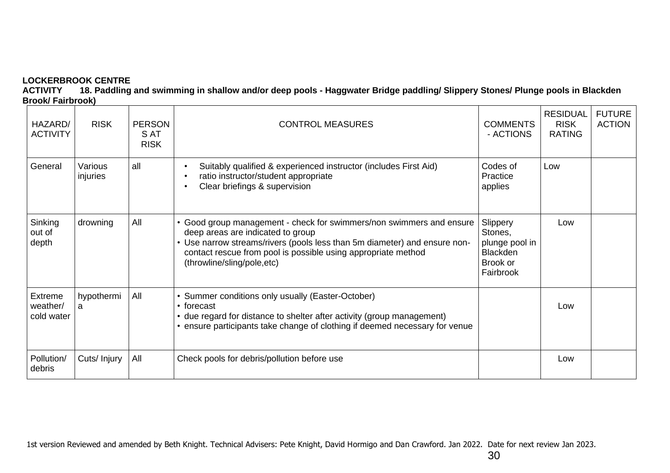**ACTIVITY 18. Paddling and swimming in shallow and/or deep pools - Haggwater Bridge paddling/ Slippery Stones/ Plunge pools in Blackden Brook/ Fairbrook)**

| HAZARD/<br><b>ACTIVITY</b>        | <b>RISK</b>         | <b>PERSON</b><br>S AT<br><b>RISK</b> | <b>CONTROL MEASURES</b>                                                                                                                                                                                                                                                             | <b>COMMENTS</b><br>- ACTIONS                                                      | <b>RESIDUAL</b><br><b>RISK</b><br><b>RATING</b> | <b>FUTURE</b><br><b>ACTION</b> |
|-----------------------------------|---------------------|--------------------------------------|-------------------------------------------------------------------------------------------------------------------------------------------------------------------------------------------------------------------------------------------------------------------------------------|-----------------------------------------------------------------------------------|-------------------------------------------------|--------------------------------|
| General                           | Various<br>injuries | all                                  | Suitably qualified & experienced instructor (includes First Aid)<br>ratio instructor/student appropriate<br>Clear briefings & supervision                                                                                                                                           | Codes of<br>Practice<br>applies                                                   | Low                                             |                                |
| Sinking<br>out of<br>depth        | drowning            | All                                  | • Good group management - check for swimmers/non swimmers and ensure<br>deep areas are indicated to group<br>Use narrow streams/rivers (pools less than 5m diameter) and ensure non-<br>contact rescue from pool is possible using appropriate method<br>(throwline/sling/pole,etc) | Slippery<br>Stones,<br>plunge pool in<br><b>Blackden</b><br>Brook or<br>Fairbrook | Low                                             |                                |
| Extreme<br>weather/<br>cold water | hypothermi<br>a     | All                                  | Summer conditions only usually (Easter-October)<br>• forecast<br>• due regard for distance to shelter after activity (group management)<br>• ensure participants take change of clothing if deemed necessary for venue                                                              |                                                                                   | Low                                             |                                |
| Pollution/<br>debris              | Cuts/ Injury        | All                                  | Check pools for debris/pollution before use                                                                                                                                                                                                                                         |                                                                                   | Low                                             |                                |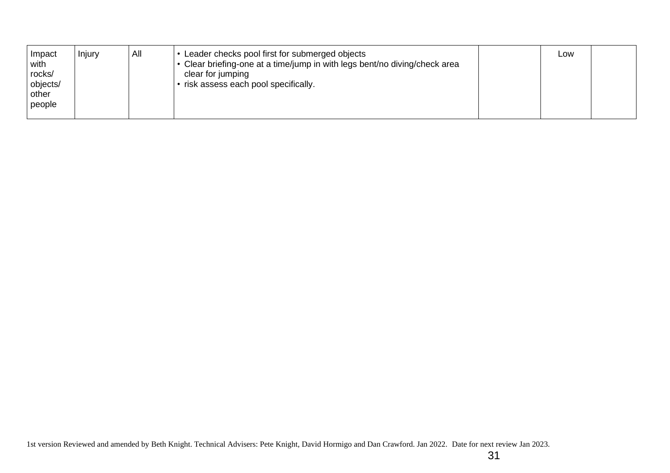| Impact<br>with<br>rocks/<br>objects/<br>other<br>people | Injury | All | Leader checks pool first for submerged objects<br>Clear briefing-one at a time/jump in with legs bent/no diving/check area<br>clear for jumping<br>risk assess each pool specifically. |  | Low |  |
|---------------------------------------------------------|--------|-----|----------------------------------------------------------------------------------------------------------------------------------------------------------------------------------------|--|-----|--|
|---------------------------------------------------------|--------|-----|----------------------------------------------------------------------------------------------------------------------------------------------------------------------------------------|--|-----|--|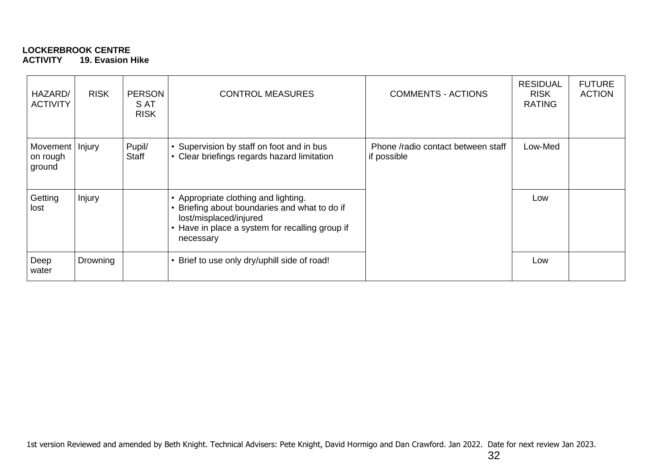### **LOCKERBROOK CENTRE ACTIVITY 19. Evasion Hike**

| HAZARD/<br><b>ACTIVITY</b>     | <b>RISK</b> | <b>PERSON</b><br>S AT<br><b>RISK</b> | <b>CONTROL MEASURES</b>                                                                                                                                                   | <b>COMMENTS - ACTIONS</b>                         | <b>RESIDUAL</b><br><b>RISK</b><br><b>RATING</b> | <b>FUTURE</b><br><b>ACTION</b> |
|--------------------------------|-------------|--------------------------------------|---------------------------------------------------------------------------------------------------------------------------------------------------------------------------|---------------------------------------------------|-------------------------------------------------|--------------------------------|
| Movement<br>on rough<br>ground | Injury      | Pupil/<br>Staff                      | Supervision by staff on foot and in bus<br>Clear briefings regards hazard limitation                                                                                      | Phone /radio contact between staff<br>if possible | Low-Med                                         |                                |
| Getting<br>lost                | Injury      |                                      | Appropriate clothing and lighting.<br>Briefing about boundaries and what to do if<br>lost/misplaced/injured<br>Have in place a system for recalling group if<br>necessary |                                                   | Low                                             |                                |
| Deep<br>water                  | Drowning    |                                      | Brief to use only dry/uphill side of road!                                                                                                                                |                                                   | Low                                             |                                |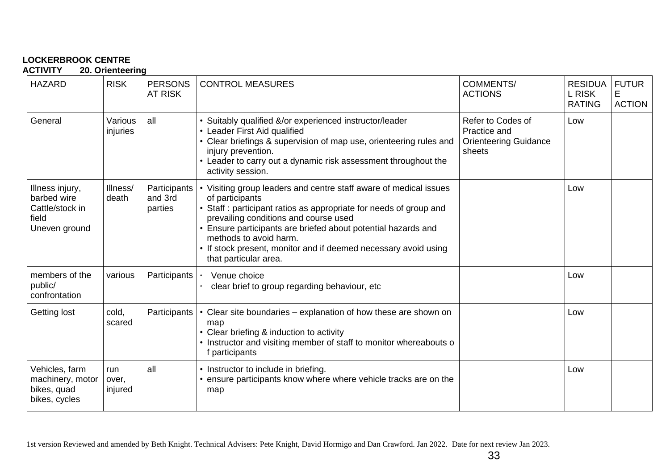**ACTIVITY 20. Orienteering**

| <b>HAZARD</b>                                                               | <b>RISK</b>             | <b>PERSONS</b><br><b>AT RISK</b>   | <b>CONTROL MEASURES</b>                                                                                                                                                                                                                                                                                                                                                            | <b>COMMENTS/</b><br><b>ACTIONS</b>                                          | <b>RESIDUA</b><br>L RISK<br><b>RATING</b> | <b>FUTUR</b><br>E<br><b>ACTION</b> |
|-----------------------------------------------------------------------------|-------------------------|------------------------------------|------------------------------------------------------------------------------------------------------------------------------------------------------------------------------------------------------------------------------------------------------------------------------------------------------------------------------------------------------------------------------------|-----------------------------------------------------------------------------|-------------------------------------------|------------------------------------|
| General                                                                     | Various<br>injuries     | all                                | Suitably qualified &/or experienced instructor/leader<br>• Leader First Aid qualified<br>Clear briefings & supervision of map use, orienteering rules and<br>injury prevention.<br>• Leader to carry out a dynamic risk assessment throughout the<br>activity session.                                                                                                             | Refer to Codes of<br>Practice and<br><b>Orienteering Guidance</b><br>sheets | Low                                       |                                    |
| Illness injury,<br>barbed wire<br>Cattle/stock in<br>field<br>Uneven ground | Illness/<br>death       | Participants<br>and 3rd<br>parties | Visiting group leaders and centre staff aware of medical issues<br>of participants<br>Staff : participant ratios as appropriate for needs of group and<br>prevailing conditions and course used<br>Ensure participants are briefed about potential hazards and<br>methods to avoid harm.<br>If stock present, monitor and if deemed necessary avoid using<br>that particular area. |                                                                             | Low                                       |                                    |
| members of the<br>public/<br>confrontation                                  | various                 | Participants                       | Venue choice<br>clear brief to group regarding behaviour, etc                                                                                                                                                                                                                                                                                                                      |                                                                             | Low                                       |                                    |
| Getting lost                                                                | cold,<br>scared         | Participants                       | Clear site boundaries – explanation of how these are shown on<br>map<br>• Clear briefing & induction to activity<br>Instructor and visiting member of staff to monitor whereabouts o<br>f participants                                                                                                                                                                             |                                                                             | Low                                       |                                    |
| Vehicles, farm<br>machinery, motor<br>bikes, quad<br>bikes, cycles          | run<br>over,<br>injured | all                                | • Instructor to include in briefing.<br>ensure participants know where where vehicle tracks are on the<br>map                                                                                                                                                                                                                                                                      |                                                                             | Low                                       |                                    |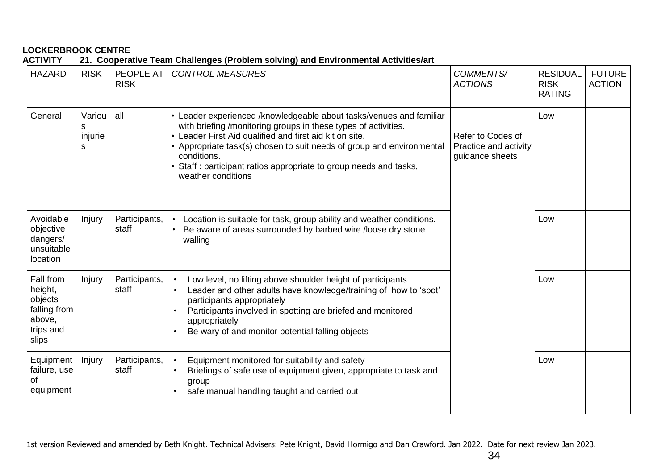**ACTIVITY 21. Cooperative Team Challenges (Problem solving) and Environmental Activities/art**

| <b>HAZARD</b>                                                                   | <b>RISK</b>                 | PEOPLE AT<br><b>RISK</b> | <b>CONTROL MEASURES</b>                                                                                                                                                                                                                                                                                                                                                         | COMMENTS/<br><b>ACTIONS</b>                                   | <b>RESIDUAL</b><br><b>RISK</b><br><b>RATING</b> | <b>FUTURE</b><br><b>ACTION</b> |
|---------------------------------------------------------------------------------|-----------------------------|--------------------------|---------------------------------------------------------------------------------------------------------------------------------------------------------------------------------------------------------------------------------------------------------------------------------------------------------------------------------------------------------------------------------|---------------------------------------------------------------|-------------------------------------------------|--------------------------------|
| General                                                                         | Variou<br>S<br>injurie<br>S | all                      | • Leader experienced /knowledgeable about tasks/venues and familiar<br>with briefing /monitoring groups in these types of activities.<br>• Leader First Aid qualified and first aid kit on site.<br>Appropriate task(s) chosen to suit needs of group and environmental<br>conditions.<br>Staff: participant ratios appropriate to group needs and tasks,<br>weather conditions | Refer to Codes of<br>Practice and activity<br>guidance sheets | Low                                             |                                |
| Avoidable<br>objective<br>dangers/<br>unsuitable<br>location                    | Injury                      | Participants,<br>staff   | Location is suitable for task, group ability and weather conditions.<br>Be aware of areas surrounded by barbed wire /loose dry stone<br>walling                                                                                                                                                                                                                                 |                                                               | Low                                             |                                |
| Fall from<br>height,<br>objects<br>falling from<br>above,<br>trips and<br>slips | Injury                      | Participants,<br>staff   | Low level, no lifting above shoulder height of participants<br>$\bullet$<br>Leader and other adults have knowledge/training of how to 'spot'<br>$\bullet$<br>participants appropriately<br>Participants involved in spotting are briefed and monitored<br>$\bullet$<br>appropriately<br>Be wary of and monitor potential falling objects                                        |                                                               | Low                                             |                                |
| Equipment<br>failure, use<br>οf<br>equipment                                    | Injury                      | Participants,<br>staff   | Equipment monitored for suitability and safety<br>$\bullet$<br>Briefings of safe use of equipment given, appropriate to task and<br>$\bullet$<br>group<br>safe manual handling taught and carried out                                                                                                                                                                           |                                                               | Low                                             |                                |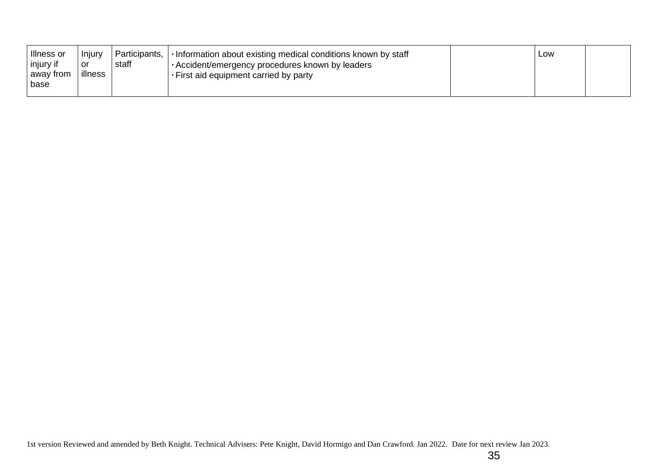| Illness or<br>injury if<br>away from | <b>Injury</b><br>or<br>illness | Participants,<br>staff | $\cdot$ Information about existing medical conditions known by staff<br>Accident/emergency procedures known by leaders<br>$\cdot$ First aid equipment carried by party | Low |  |
|--------------------------------------|--------------------------------|------------------------|------------------------------------------------------------------------------------------------------------------------------------------------------------------------|-----|--|
| base                                 |                                |                        |                                                                                                                                                                        |     |  |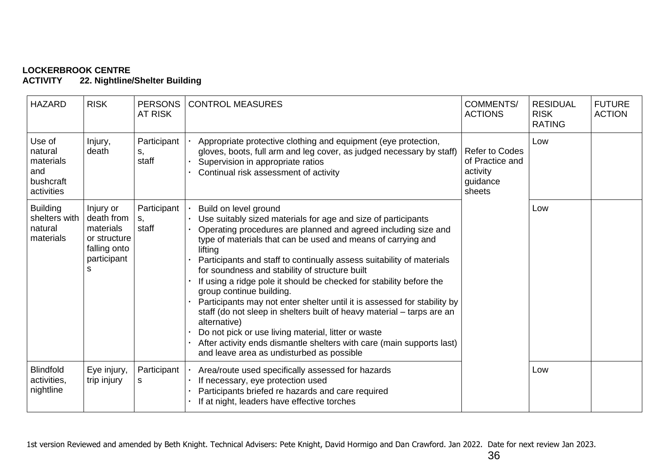**ACTIVITY 22. Nightline/Shelter Building**

| <b>HAZARD</b>                                                    | <b>RISK</b>                                                                              | <b>PERSONS</b><br><b>AT RISK</b> | <b>CONTROL MEASURES</b>                                                                                                                                                                                                                                                                                                                                                                                                                                                                                                                                                                                                                                                                                                                                                                                              | <b>COMMENTS/</b><br><b>ACTIONS</b>                                         | <b>RESIDUAL</b><br><b>RISK</b><br><b>RATING</b> | <b>FUTURE</b><br><b>ACTION</b> |
|------------------------------------------------------------------|------------------------------------------------------------------------------------------|----------------------------------|----------------------------------------------------------------------------------------------------------------------------------------------------------------------------------------------------------------------------------------------------------------------------------------------------------------------------------------------------------------------------------------------------------------------------------------------------------------------------------------------------------------------------------------------------------------------------------------------------------------------------------------------------------------------------------------------------------------------------------------------------------------------------------------------------------------------|----------------------------------------------------------------------------|-------------------------------------------------|--------------------------------|
| Use of<br>natural<br>materials<br>and<br>bushcraft<br>activities | Injury,<br>death                                                                         | Participant<br>S,<br>staff       | Appropriate protective clothing and equipment (eye protection,<br>gloves, boots, full arm and leg cover, as judged necessary by staff)<br>Supervision in appropriate ratios<br>Continual risk assessment of activity                                                                                                                                                                                                                                                                                                                                                                                                                                                                                                                                                                                                 | <b>Refer to Codes</b><br>of Practice and<br>activity<br>guidance<br>sheets | Low                                             |                                |
| <b>Building</b><br>shelters with<br>natural<br>materials         | Injury or<br>death from<br>materials<br>or structure<br>falling onto<br>participant<br>S | Participant<br>S.<br>staff       | Build on level ground<br>Use suitably sized materials for age and size of participants<br>Operating procedures are planned and agreed including size and<br>type of materials that can be used and means of carrying and<br>lifting<br>Participants and staff to continually assess suitability of materials<br>for soundness and stability of structure built<br>If using a ridge pole it should be checked for stability before the<br>group continue building.<br>Participants may not enter shelter until it is assessed for stability by<br>staff (do not sleep in shelters built of heavy material - tarps are an<br>alternative)<br>Do not pick or use living material, litter or waste<br>After activity ends dismantle shelters with care (main supports last)<br>and leave area as undisturbed as possible |                                                                            | Low                                             |                                |
| <b>Blindfold</b><br>activities,<br>nightline                     | Eye injury,<br>trip injury                                                               | Participant<br>s                 | Area/route used specifically assessed for hazards<br>If necessary, eye protection used<br>Participants briefed re hazards and care required<br>If at night, leaders have effective torches                                                                                                                                                                                                                                                                                                                                                                                                                                                                                                                                                                                                                           |                                                                            | Low                                             |                                |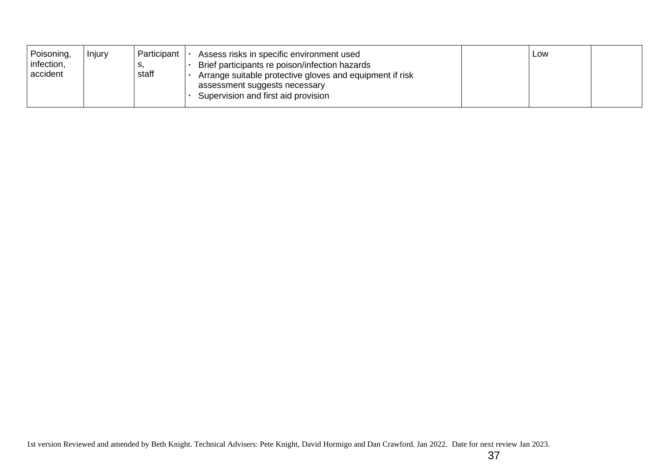| Poisoning,<br>infection,<br>accident | Injury | Participant<br>o,<br>staff | Assess risks in specific environment used<br>Brief participants re poison/infection hazards<br>Arrange suitable protective gloves and equipment if risk<br>assessment suggests necessary<br>Supervision and first aid provision |  | Low |  |
|--------------------------------------|--------|----------------------------|---------------------------------------------------------------------------------------------------------------------------------------------------------------------------------------------------------------------------------|--|-----|--|
|--------------------------------------|--------|----------------------------|---------------------------------------------------------------------------------------------------------------------------------------------------------------------------------------------------------------------------------|--|-----|--|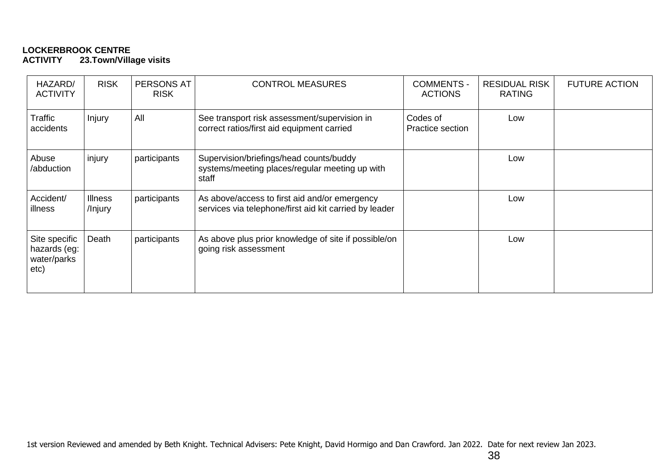#### **LOCKERBROOK CENTRE 23.Town/Village visits**

| HAZARD/<br><b>ACTIVITY</b>                           | <b>RISK</b>               | PERSONS AT<br><b>RISK</b> | <b>CONTROL MEASURES</b>                                                                                 | <b>COMMENTS -</b><br><b>ACTIONS</b> | <b>RESIDUAL RISK</b><br><b>RATING</b> | <b>FUTURE ACTION</b> |
|------------------------------------------------------|---------------------------|---------------------------|---------------------------------------------------------------------------------------------------------|-------------------------------------|---------------------------------------|----------------------|
| Traffic<br>accidents                                 | Injury                    | All                       | See transport risk assessment/supervision in<br>correct ratios/first aid equipment carried              | Codes of<br>Practice section        | Low                                   |                      |
| Abuse<br>/abduction                                  | injury                    | participants              | Supervision/briefings/head counts/buddy<br>systems/meeting places/regular meeting up with<br>staff      |                                     | Low                                   |                      |
| Accident/<br>illness                                 | <b>Illness</b><br>/Injury | participants              | As above/access to first aid and/or emergency<br>services via telephone/first aid kit carried by leader |                                     | Low                                   |                      |
| Site specific<br>hazards (eg:<br>water/parks<br>etc) | Death                     | participants              | As above plus prior knowledge of site if possible/on<br>going risk assessment                           |                                     | Low                                   |                      |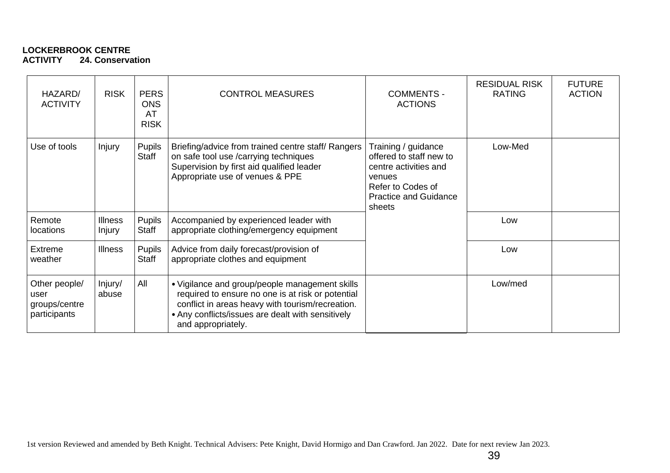#### **LOCKERBROOK CENTRE ACTIVITY 24. Conservation**

| HAZARD/<br><b>ACTIVITY</b>                             | <b>RISK</b>                     | <b>PERS</b><br><b>ONS</b><br>AT<br><b>RISK</b> | <b>CONTROL MEASURES</b>                                                                                                                                                                                                            | <b>COMMENTS -</b><br><b>ACTIONS</b>                                                                                                              | <b>RESIDUAL RISK</b><br><b>RATING</b> | <b>FUTURE</b><br><b>ACTION</b> |
|--------------------------------------------------------|---------------------------------|------------------------------------------------|------------------------------------------------------------------------------------------------------------------------------------------------------------------------------------------------------------------------------------|--------------------------------------------------------------------------------------------------------------------------------------------------|---------------------------------------|--------------------------------|
| Use of tools                                           | <b>Injury</b>                   | <b>Pupils</b><br>Staff                         | Briefing/advice from trained centre staff/ Rangers<br>on safe tool use /carrying techniques<br>Supervision by first aid qualified leader<br>Appropriate use of venues & PPE                                                        | Training / guidance<br>offered to staff new to<br>centre activities and<br>venues<br>Refer to Codes of<br><b>Practice and Guidance</b><br>sheets | Low-Med                               |                                |
| Remote<br>locations                                    | <b>Illness</b><br><b>Injury</b> | Pupils<br><b>Staff</b>                         | Accompanied by experienced leader with<br>appropriate clothing/emergency equipment                                                                                                                                                 |                                                                                                                                                  | Low                                   |                                |
| Extreme<br>weather                                     | <b>Illness</b>                  | <b>Pupils</b><br>Staff                         | Advice from daily forecast/provision of<br>appropriate clothes and equipment                                                                                                                                                       |                                                                                                                                                  | Low                                   |                                |
| Other people/<br>user<br>groups/centre<br>participants | Injury/<br>abuse                | All                                            | • Vigilance and group/people management skills<br>required to ensure no one is at risk or potential<br>conflict in areas heavy with tourism/recreation.<br>• Any conflicts/issues are dealt with sensitively<br>and appropriately. |                                                                                                                                                  | Low/med                               |                                |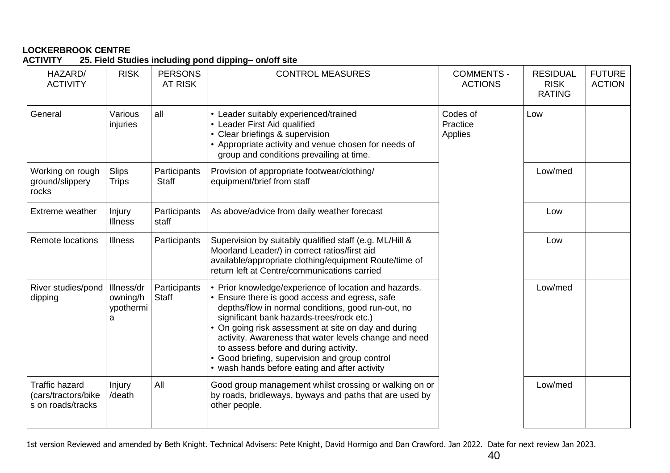### **LOCKERBROOK CENTRE ACTIVITY 25. Field Studies including pond dipping– on/off site**

| HAZARD/<br><b>ACTIVITY</b>                                        | <b>RISK</b>                              | <b>PERSONS</b><br>AT RISK    | <b>CONTROL MEASURES</b>                                                                                                                                                                                                                                                                                                                                                                                                                                                 | <b>COMMENTS -</b><br><b>ACTIONS</b> | <b>RESIDUAL</b><br><b>RISK</b><br><b>RATING</b> | <b>FUTURE</b><br><b>ACTION</b> |
|-------------------------------------------------------------------|------------------------------------------|------------------------------|-------------------------------------------------------------------------------------------------------------------------------------------------------------------------------------------------------------------------------------------------------------------------------------------------------------------------------------------------------------------------------------------------------------------------------------------------------------------------|-------------------------------------|-------------------------------------------------|--------------------------------|
| General                                                           | Various<br>injuries                      | all                          | • Leader suitably experienced/trained<br>• Leader First Aid qualified<br>• Clear briefings & supervision<br>• Appropriate activity and venue chosen for needs of<br>group and conditions prevailing at time.                                                                                                                                                                                                                                                            | Codes of<br>Practice<br>Applies     | Low                                             |                                |
| Working on rough<br>ground/slippery<br>rocks                      | <b>Slips</b><br><b>Trips</b>             | Participants<br><b>Staff</b> | Provision of appropriate footwear/clothing/<br>equipment/brief from staff                                                                                                                                                                                                                                                                                                                                                                                               |                                     | Low/med                                         |                                |
| Extreme weather                                                   | Injury<br><b>Illness</b>                 | Participants<br>staff        | As above/advice from daily weather forecast                                                                                                                                                                                                                                                                                                                                                                                                                             |                                     | Low                                             |                                |
| <b>Remote locations</b>                                           | <b>Illness</b>                           | Participants                 | Supervision by suitably qualified staff (e.g. ML/Hill &<br>Moorland Leader/) in correct ratios/first aid<br>available/appropriate clothing/equipment Route/time of<br>return left at Centre/communications carried                                                                                                                                                                                                                                                      |                                     | Low                                             |                                |
| River studies/pond<br>dipping                                     | Illness/dr<br>owning/h<br>ypothermi<br>a | Participants<br><b>Staff</b> | • Prior knowledge/experience of location and hazards.<br>• Ensure there is good access and egress, safe<br>depths/flow in normal conditions, good run-out, no<br>significant bank hazards-trees/rock etc.)<br>• On going risk assessment at site on day and during<br>activity. Awareness that water levels change and need<br>to assess before and during activity.<br>• Good briefing, supervision and group control<br>• wash hands before eating and after activity |                                     | Low/med                                         |                                |
| <b>Traffic hazard</b><br>(cars/tractors/bike<br>s on roads/tracks | Injury<br>/death                         | All                          | Good group management whilst crossing or walking on or<br>by roads, bridleways, byways and paths that are used by<br>other people.                                                                                                                                                                                                                                                                                                                                      |                                     | Low/med                                         |                                |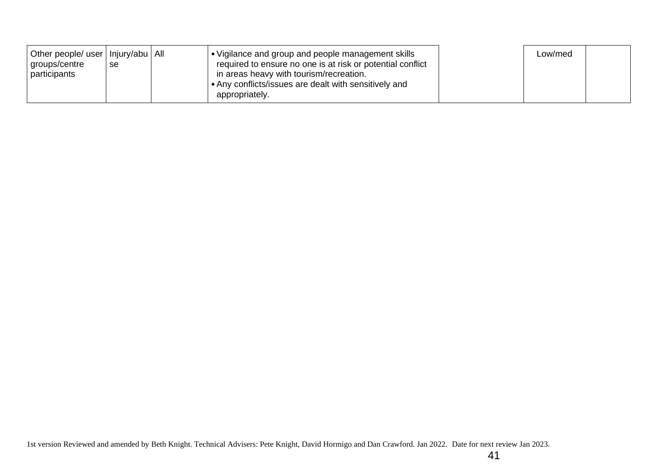| Other people/ user   Injury/abu   All<br>groups/centre<br>participants | se | Vigilance and group and people management skills<br>required to ensure no one is at risk or potential conflict<br>in areas heavy with tourism/recreation.<br>• Any conflicts/issues are dealt with sensitively and | Low/med |  |
|------------------------------------------------------------------------|----|--------------------------------------------------------------------------------------------------------------------------------------------------------------------------------------------------------------------|---------|--|
|                                                                        |    | appropriately.                                                                                                                                                                                                     |         |  |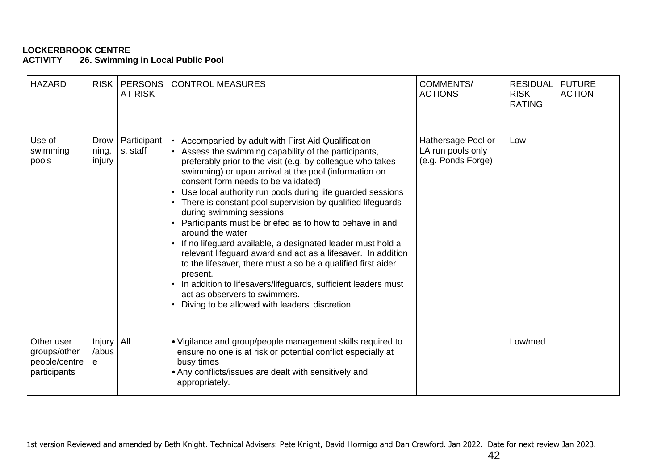#### **LOCKERBROOK CENTRE 26. Swimming in Local Public Pool**

| <b>HAZARD</b>                                               | <b>RISK</b>                          | <b>PERSONS</b><br><b>AT RISK</b> | <b>CONTROL MEASURES</b>                                                                                                                                                                                                                                                                                                                                                                                                                                                                                                                                                                                                                                                                                                                                                                                                                                                     | <b>COMMENTS/</b><br><b>ACTIONS</b>                            | <b>RESIDUAL</b><br><b>RISK</b><br><b>RATING</b> | <b>FUTURE</b><br><b>ACTION</b> |
|-------------------------------------------------------------|--------------------------------------|----------------------------------|-----------------------------------------------------------------------------------------------------------------------------------------------------------------------------------------------------------------------------------------------------------------------------------------------------------------------------------------------------------------------------------------------------------------------------------------------------------------------------------------------------------------------------------------------------------------------------------------------------------------------------------------------------------------------------------------------------------------------------------------------------------------------------------------------------------------------------------------------------------------------------|---------------------------------------------------------------|-------------------------------------------------|--------------------------------|
| Use of<br>swimming<br>pools                                 | Drow<br>ning,<br>injury              | Participant<br>s, staff          | Accompanied by adult with First Aid Qualification<br>Assess the swimming capability of the participants,<br>preferably prior to the visit (e.g. by colleague who takes<br>swimming) or upon arrival at the pool (information on<br>consent form needs to be validated)<br>Use local authority run pools during life guarded sessions<br>There is constant pool supervision by qualified lifeguards<br>during swimming sessions<br>Participants must be briefed as to how to behave in and<br>around the water<br>If no lifeguard available, a designated leader must hold a<br>relevant lifeguard award and act as a lifesaver. In addition<br>to the lifesaver, there must also be a qualified first aider<br>present.<br>In addition to lifesavers/lifeguards, sufficient leaders must<br>act as observers to swimmers.<br>Diving to be allowed with leaders' discretion. | Hathersage Pool or<br>LA run pools only<br>(e.g. Ponds Forge) | Low                                             |                                |
| Other user<br>groups/other<br>people/centre<br>participants | Injury   All<br>/abus<br>$\mathbf e$ |                                  | • Vigilance and group/people management skills required to<br>ensure no one is at risk or potential conflict especially at<br>busy times<br>• Any conflicts/issues are dealt with sensitively and<br>appropriately.                                                                                                                                                                                                                                                                                                                                                                                                                                                                                                                                                                                                                                                         |                                                               | Low/med                                         |                                |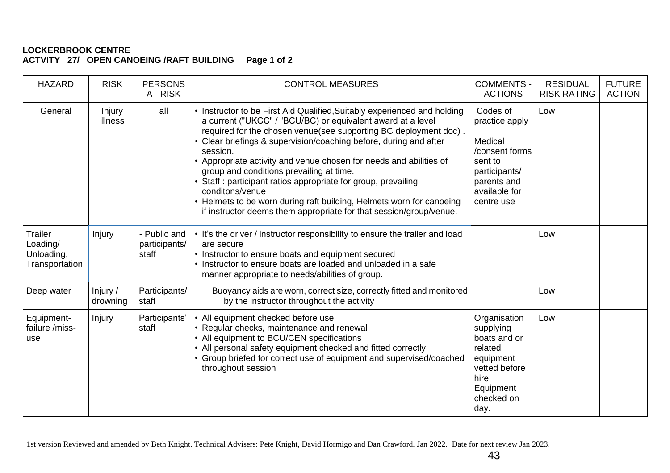### **LOCKERBROOK CENTRE ACTVITY 27/ OPEN CANOEING /RAFT BUILDING Page 1 of 2**

| <b>HAZARD</b>                                              | <b>RISK</b>          | <b>PERSONS</b><br><b>AT RISK</b>       | <b>CONTROL MEASURES</b>                                                                                                                                                                                                                                                                                                                                                                                                                                                                                                                                                                                                                      | <b>COMMENTS -</b><br><b>ACTIONS</b>                                                                                               | <b>RESIDUAL</b><br><b>RISK RATING</b> | <b>FUTURE</b><br><b>ACTION</b> |
|------------------------------------------------------------|----------------------|----------------------------------------|----------------------------------------------------------------------------------------------------------------------------------------------------------------------------------------------------------------------------------------------------------------------------------------------------------------------------------------------------------------------------------------------------------------------------------------------------------------------------------------------------------------------------------------------------------------------------------------------------------------------------------------------|-----------------------------------------------------------------------------------------------------------------------------------|---------------------------------------|--------------------------------|
| General                                                    | Injury<br>illness    | all                                    | • Instructor to be First Aid Qualified, Suitably experienced and holding<br>a current ("UKCC" / "BCU/BC) or equivalent award at a level<br>required for the chosen venue(see supporting BC deployment doc).<br>Clear briefings & supervision/coaching before, during and after<br>session.<br>• Appropriate activity and venue chosen for needs and abilities of<br>group and conditions prevailing at time.<br>Staff: participant ratios appropriate for group, prevailing<br>conditons/venue<br>• Helmets to be worn during raft building, Helmets worn for canoeing<br>if instructor deems them appropriate for that session/group/venue. | Codes of<br>practice apply<br>Medical<br>/consent forms<br>sent to<br>participants/<br>parents and<br>available for<br>centre use | Low                                   |                                |
| <b>Trailer</b><br>Loading/<br>Unloading,<br>Transportation | Injury               | - Public and<br>participants/<br>staff | • It's the driver / instructor responsibility to ensure the trailer and load<br>are secure<br>• Instructor to ensure boats and equipment secured<br>Instructor to ensure boats are loaded and unloaded in a safe<br>manner appropriate to needs/abilities of group.                                                                                                                                                                                                                                                                                                                                                                          |                                                                                                                                   | Low                                   |                                |
| Deep water                                                 | Injury /<br>drowning | Participants/<br>staff                 | Buoyancy aids are worn, correct size, correctly fitted and monitored<br>by the instructor throughout the activity                                                                                                                                                                                                                                                                                                                                                                                                                                                                                                                            |                                                                                                                                   | Low                                   |                                |
| Equipment-<br>failure /miss-<br>use                        | Injury               | Participants'<br>staff                 | • All equipment checked before use<br>• Regular checks, maintenance and renewal<br>• All equipment to BCU/CEN specifications<br>• All personal safety equipment checked and fitted correctly<br>• Group briefed for correct use of equipment and supervised/coached<br>throughout session                                                                                                                                                                                                                                                                                                                                                    | Organisation<br>supplying<br>boats and or<br>related<br>equipment<br>vetted before<br>hire.<br>Equipment<br>checked on<br>day.    | Low                                   |                                |